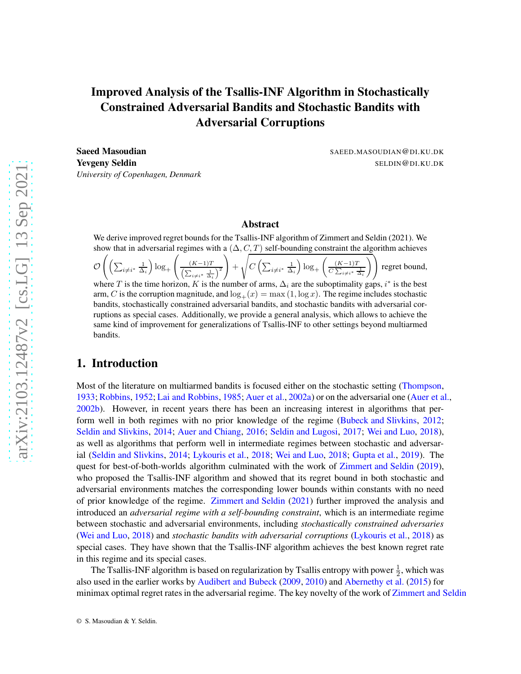# Improved Analysis of the Tsallis-INF Algorithm in Stochastically Constrained Adversarial Bandits and Stochastic Bandits with Adversarial Corruptions

Saeed Masoudian SAEED.MASOUDIAN@DI.KU.DK **Yevgeny Seldin** Seldin Seldin SELDIN & SELDIN & DI.KU.DK *University of Copenhagen, Denmark*

### Abstract

We derive improved regret bounds for the Tsallis-INF algorithm of Zimmert and Seldin (2021). We show that in adversarial regimes with a  $(\Delta, C, T)$  self-bounding constraint the algorithm achieves

 $\cal O$  $\left( \left( \sum_{i \neq i^*} \frac{1}{\Delta_i} \right) \log_+ \right)$  $\int (K-1)T$  $\left(\sum_{i\neq i^*}\frac{1}{\Delta_i}\right)^2$  $\setminus$  $+$ s  $C\left(\sum_{i\neq i^*}\frac{1}{\Delta_i}\right)\log_+\left(\frac{(K-1)T}{C\sum_{i\neq i^*}\frac{1}{\Delta_i}}\right)$  $\sqrt{}$ regret bound,

where T is the time horizon, K is the number of arms,  $\Delta_i$  are the suboptimality gaps, i<sup>\*</sup> is the best arm, C is the corruption magnitude, and  $\log_+(x) = \max(1, \log x)$ . The regime includes stochastic bandits, stochastically constrained adversarial bandits, and stochastic bandits with adversarial corruptions as special cases. Additionally, we provide a general analysis, which allows to achieve the same kind of improvement for generalizations of Tsallis-INF to other settings beyond multiarmed bandits.

# 1. Introduction

Most of the literature on multiarmed bandits is focused either on the stochastic setting [\(Thompson](#page-14-0), [1933;](#page-14-0) [Robbins](#page-14-1), [1952;](#page-14-1) [Lai and Robbins](#page-13-0), [1985;](#page-13-0) [Auer et al.,](#page-13-1) [2002a](#page-13-1)) or on the adversarial one [\(Auer et al.](#page-13-2), [2002b](#page-13-2)). However, in recent years there has been an increasing interest in algorithms that perform well in both regimes with no prior knowledge of the regime [\(Bubeck and Slivkins](#page-13-3), [2012](#page-13-3); [Seldin and Slivkins](#page-14-2), [2014](#page-14-2); [Auer and Chiang](#page-13-4), [2016](#page-13-4); [Seldin and Lugosi](#page-14-3), [2017](#page-14-3); [Wei and Luo,](#page-14-4) [2018](#page-14-4)), as well as algorithms that perform well in intermediate regimes between stochastic and adversarial [\(Seldin and Slivkins](#page-14-2), [2014](#page-14-2); [Lykouris et al.,](#page-14-5) [2018](#page-14-5); [Wei and Luo](#page-14-4), [2018](#page-14-4); [Gupta et al.](#page-13-5), [2019](#page-13-5)). The quest for best-of-both-worlds algorithm culminated with the work of [Zimmert and Seldin](#page-14-6) [\(2019](#page-14-6)), who proposed the Tsallis-INF algorithm and showed that its regret bound in both stochastic and adversarial environments matches the corresponding lower bounds within constants with no need of prior knowledge of the regime. [Zimmert and Seldin](#page-14-7) [\(2021](#page-14-7)) further improved the analysis and introduced an *adversarial regime with a self-bounding constraint*, which is an intermediate regime between stochastic and adversarial environments, including *stochastically constrained adversaries* [\(Wei and Luo,](#page-14-4) [2018](#page-14-4)) and *stochastic bandits with adversarial corruptions* [\(Lykouris et al.,](#page-14-5) [2018](#page-14-5)) as special cases. They have shown that the Tsallis-INF algorithm achieves the best known regret rate in this regime and its special cases.

The Tsallis-INF algorithm is based on regularization by Tsallis entropy with power  $\frac{1}{2}$ , which was also used in the earlier works by [Audibert and Bubeck](#page-13-6) [\(2009](#page-13-6), [2010\)](#page-13-7) and [Abernethy et al.](#page-13-8) [\(2015](#page-13-8)) for minimax optimal regret rates in the adversarial regime. The key novelty of the work of [Zimmert and Seldin](#page-14-6)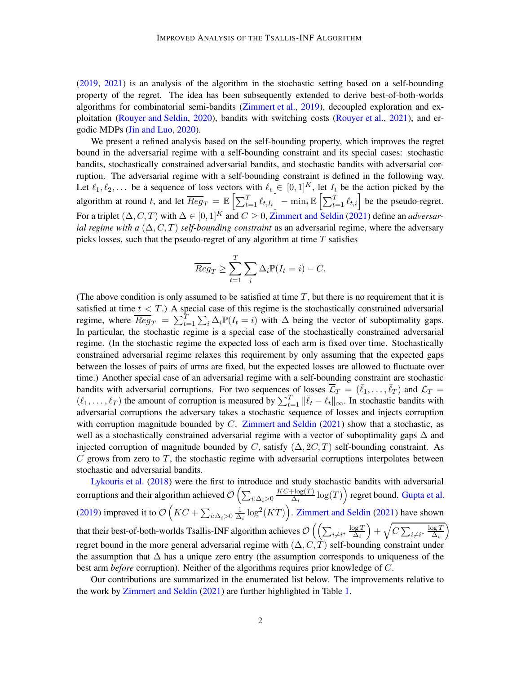[\(2019](#page-14-6), [2021](#page-14-7)) is an analysis of the algorithm in the stochastic setting based on a self-bounding property of the regret. The idea has been subsequently extended to derive best-of-both-worlds algorithms for combinatorial semi-bandits [\(Zimmert et al.](#page-14-8), [2019](#page-14-8)), decoupled exploration and exploitation [\(Rouyer and Seldin,](#page-14-9) [2020](#page-14-9)), bandits with switching costs [\(Rouyer et al.,](#page-14-10) [2021](#page-14-10)), and ergodic MDPs [\(Jin and Luo,](#page-13-9) [2020](#page-13-9)).

We present a refined analysis based on the self-bounding property, which improves the regret bound in the adversarial regime with a self-bounding constraint and its special cases: stochastic bandits, stochastically constrained adversarial bandits, and stochastic bandits with adversarial corruption. The adversarial regime with a self-bounding constraint is defined in the following way. Let  $\ell_1, \ell_2, \ldots$  be a sequence of loss vectors with  $\ell_t \in [0, 1]^K$ , let  $I_t$  be the action picked by the algorithm at round t, and let  $\overline{Reg}_T = \mathbb{E}\left[\sum_{t=1}^T \ell_{t,I_t}\right] - \min_i \mathbb{E}\left[\sum_{t=1}^T \ell_{t,i}\right]$  be the pseudo-regret. For a triplet  $(\Delta, C, T)$  with  $\Delta \in [0, 1]^K$  and  $C \geq 0$ , [Zimmert and Seldin](#page-14-7) [\(2021](#page-14-7)) define an *adversarial regime with a*  $(\Delta, C, T)$  *self-bounding constraint* as an adversarial regime, where the adversary picks losses, such that the pseudo-regret of any algorithm at time  $T$  satisfies

$$
\overline{Reg}_T \ge \sum_{t=1}^T \sum_i \Delta_i \mathbb{P}(I_t = i) - C.
$$

(The above condition is only assumed to be satisfied at time  $T$ , but there is no requirement that it is satisfied at time  $t < T$ .) A special case of this regime is the stochastically constrained adversarial regime, where  $\overline{Reg}_T = \sum_{t=1}^T \sum_i \Delta_i \mathbb{P}(I_t = i)$  with  $\Delta$  being the vector of suboptimality gaps. In particular, the stochastic regime is a special case of the stochastically constrained adversarial regime. (In the stochastic regime the expected loss of each arm is fixed over time. Stochastically constrained adversarial regime relaxes this requirement by only assuming that the expected gaps between the losses of pairs of arms are fixed, but the expected losses are allowed to fluctuate over time.) Another special case of an adversarial regime with a self-bounding constraint are stochastic bandits with adversarial corruptions. For two sequences of losses  $\overline{\mathcal{L}}_T = (\overline{\ell}_1, \ldots, \overline{\ell}_T)$  and  $\mathcal{L}_T =$  $(\ell_1,\ldots,\ell_T)$  the amount of corruption is measured by  $\sum_{t=1}^T \|\bar{\ell}_t - \ell_t\|_{\infty}$ . In stochastic bandits with adversarial corruptions the adversary takes a stochastic sequence of losses and injects corruption with corruption magnitude bounded by  $C$ . [Zimmert and Seldin](#page-14-7) [\(2021](#page-14-7)) show that a stochastic, as well as a stochastically constrained adversarial regime with a vector of suboptimality gaps ∆ and injected corruption of magnitude bounded by C, satisfy  $(\Delta, 2C, T)$  self-bounding constraint. As  $C$  grows from zero to  $T$ , the stochastic regime with adversarial corruptions interpolates between stochastic and adversarial bandits.

[Lykouris et al.](#page-14-5) [\(2018](#page-14-5)) were the first to introduce and study stochastic bandits with adversarial corruptions and their algorithm achieved  $\mathcal{O}\left(\sum_{i:\Delta_i>0}\right)$  $KC+\log(T)$  $\frac{\text{c} + \log(T)}{\Delta_i} \log(T)$ ) regret bound. [Gupta et al.](#page-13-5) [\(2019](#page-13-5)) improved it to  $\mathcal{O}\left(KC+\sum_{i:\Delta_i>0}\frac{1}{\Delta_i}\right)$  $\frac{1}{\Delta_i} \log^2(KT)$ . [Zimmert and Seldin](#page-14-7) [\(2021](#page-14-7)) have shown that their best-of-both-worlds Tsallis-INF algorithm achieves  $\mathcal{O}\left(\left(\sum_{i\neq i^*}\frac{\log T}{\Delta_i}\right)$  $\Delta_i$  $\Big) + \sqrt{C \sum_{i \neq i^*} \frac{\log T}{\Delta_i}}$  $\Delta_i$  $\setminus$ regret bound in the more general adversarial regime with  $(\Delta, C, T)$  self-bounding constraint under the assumption that  $\Delta$  has a unique zero entry (the assumption corresponds to uniqueness of the best arm *before* corruption). Neither of the algorithms requires prior knowledge of C.

Our contributions are summarized in the enumerated list below. The improvements relative to the work by [Zimmert and Seldin](#page-14-7) [\(2021](#page-14-7)) are further highlighted in Table [1.](#page-2-0)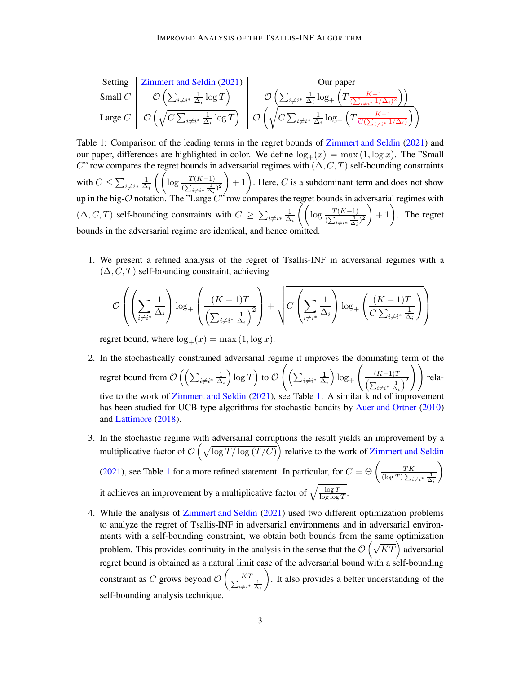<span id="page-2-0"></span>

| Setting   | Zimmert and Seldin (2021)                                           | Our paper                                                                                                                                |
|-----------|---------------------------------------------------------------------|------------------------------------------------------------------------------------------------------------------------------------------|
| Small $C$ | $O\left(\sum_{i\neq i^*} \frac{1}{\Delta_i} \log T\right)$          | $O\left(\sum_{i\neq i^*} \frac{1}{\Delta_i} \log + \left(T \frac{K-1}{\sum_{i\neq i^*} 1/\Delta_i)^2}\right)\right)$                     |
| Large $C$ | $O\left(\sqrt{C \sum_{i\neq i^*} \frac{1}{\Delta_i} \log T}\right)$ | $O\left(\sqrt{C \sum_{i\neq i^*} \frac{1}{\Delta_i} \log + \left(T \frac{K-1}{C\left(\sum_{i\neq i^*} 1/\Delta_i\right)}\right)}\right)$ |

Table 1: Comparison of the leading terms in the regret bounds of [Zimmert and Seldin](#page-14-7) [\(2021](#page-14-7)) and our paper, differences are highlighted in color. We define  $\log_+(x) = \max(1, \log x)$ . The "Small C" row compares the regret bounds in adversarial regimes with  $(\Delta, C, T)$  self-bounding constraints with  $C \leq \sum_{i \neq i*} \frac{1}{\Delta}$  $\frac{1}{\Delta_i} \left( \left( \log \frac{T(K-1)}{(\sum_{i \neq i^*} \frac{1}{\Delta_i})^2} \right) \right)$  $+ 1$ . Here, C is a subdominant term and does not show up in the big- $\mathcal O$  notation. The "Large  $C$ " row compares the regret bounds in adversarial regimes with  $(\Delta, C, T)$  self-bounding constraints with  $C \ge \sum_{i \ne i*} \frac{1}{\Delta}$  $\frac{1}{\Delta_i} \left( \left( \log \frac{T(K-1)}{(\sum_{i \neq i^*} \frac{1}{\Delta_i})^2} \right) \right)$  $+ 1$ . The regret bounds in the adversarial regime are identical, and hence omitted.

1. We present a refined analysis of the regret of Tsallis-INF in adversarial regimes with a  $(\Delta, C, T)$  self-bounding constraint, achieving

$$
\mathcal{O}\left(\left(\sum_{i\neq i^*}\frac{1}{\Delta_i}\right)\log_+\left(\frac{(K-1)T}{\left(\sum_{i\neq i^*}\frac{1}{\Delta_i}\right)^2}\right)+\sqrt{C\left(\sum_{i\neq i^*}\frac{1}{\Delta_i}\right)\log_+\left(\frac{(K-1)T}{C\sum_{i\neq i^*}\frac{1}{\Delta_i}}\right)}\right)
$$

regret bound, where  $\log_+(x) = \max(1, \log x)$ .

- 2. In the stochastically constrained adversarial regime it improves the dominating term of the regret bound from  $\mathcal{O}\left(\left(\sum_{i\neq i^*}\frac{1}{\Delta}\right)$  $\Delta_i$  $\log T\Big)$  to  $\mathcal O$  $\Bigg( \Big(\sum_{i\neq i^*}\frac{1}{\Delta}$  $\Delta_i$  $\log_{+}$  $\sqrt{ }$  $(K-1)T$  $\left(\sum_{i\neq i^*}\frac{1}{\Delta_i}\right)^2$ !! relative to the work of [Zimmert and Seldin](#page-14-7) [\(2021](#page-14-7)), see Table [1.](#page-2-0) A similar kind of improvement has been studied for UCB-type algorithms for stochastic bandits by [Auer and Ortner](#page-13-10) [\(2010](#page-13-10)) and [Lattimore](#page-13-11) [\(2018](#page-13-11)).
- 3. In the stochastic regime with adversarial corruptions the result yields an improvement by a multiplicative factor of  $\mathcal{O}\left(\sqrt{\log T/\log (T/C)}\right)$  relative to the work of [Zimmert and Seldin](#page-14-7) [\(2021](#page-14-7)), see Table [1](#page-2-0) for a more refined statement. In particular, for  $C = \Theta \left( \frac{TK}{(\log T)\sum_{i=1}^{K}} \right)$  $(\log T) \sum_{i \neq i^*} \frac{1}{\Delta_i}$  $\setminus$

it achieves an improvement by a multiplicative factor of  $\sqrt{\frac{\log T}{\log \log T}}$ .

4. While the analysis of [Zimmert and Seldin](#page-14-7) [\(2021](#page-14-7)) used two different optimization problems to analyze the regret of Tsallis-INF in adversarial environments and in adversarial environments with a self-bounding constraint, we obtain both bounds from the same optimization problem. This provides continuity in the analysis in the sense that the  $\mathcal{O}\left(\sqrt{KT}\right)$  adversarial regret bound is obtained as a natural limit case of the adversarial bound with a self-bounding constraint as  $C$  grows beyond  $\mathcal O$  $\sqrt{ }$  $\Sigma$ KT  $i\neq i^*$   $\frac{1}{\Delta_i}$  $\setminus$ . It also provides a better understanding of the self-bounding analysis technique.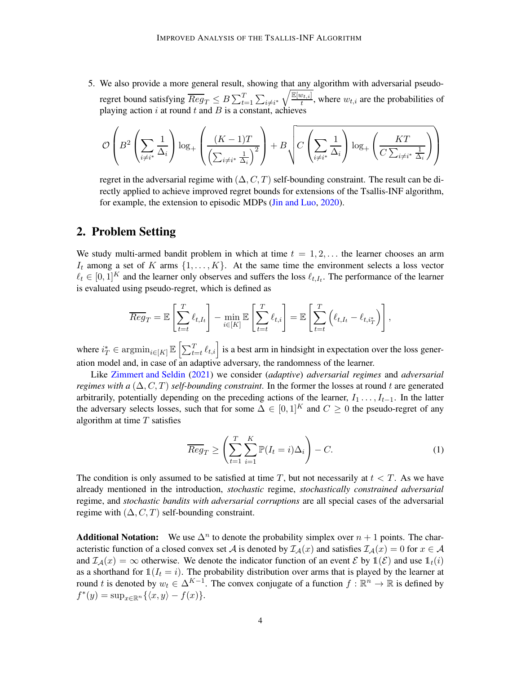5. We also provide a more general result, showing that any algorithm with adversarial pseudoregret bound satisfying  $\overline{Reg}_T \leq B \sum_{t=1}^T \sum_{i \neq i^*} \sqrt{\frac{\mathbb{E}[w_{t,i}]}{t}}$  $\frac{v_{t,i}}{t}$ , where  $w_{t,i}$  are the probabilities of playing action  $i$  at round  $t$  and  $B$  is a constant, achieves

$$
\mathcal{O}\left(B^2\left(\sum_{i\neq i^*}\frac{1}{\Delta_i}\right)\log_+\left(\frac{(K-1)T}{\left(\sum_{i\neq i^*}\frac{1}{\Delta_i}\right)^2}\right)+B\sqrt{C\left(\sum_{i\neq i^*}\frac{1}{\Delta_i}\right)\log_+\left(\frac{KT}{C\sum_{i\neq i^*}\frac{1}{\Delta_i}}\right)}\right)
$$

regret in the adversarial regime with  $(\Delta, C, T)$  self-bounding constraint. The result can be directly applied to achieve improved regret bounds for extensions of the Tsallis-INF algorithm, for example, the extension to episodic MDPs [\(Jin and Luo](#page-13-9), [2020\)](#page-13-9).

# 2. Problem Setting

We study multi-armed bandit problem in which at time  $t = 1, 2, \ldots$  the learner chooses an arm  $I_t$  among a set of K arms  $\{1, \ldots, K\}$ . At the same time the environment selects a loss vector  $\ell_t \in [0,1]^K$  and the learner only observes and suffers the loss  $\ell_{t,I_t}$ . The performance of the learner is evaluated using pseudo-regret, which is defined as

$$
\overline{Reg}_T = \mathbb{E}\left[\sum_{t=t}^T \ell_{t,I_t}\right] - \min_{i \in [K]} \mathbb{E}\left[\sum_{t=t}^T \ell_{t,i}\right] = \mathbb{E}\left[\sum_{t=t}^T \left(\ell_{t,I_t} - \ell_{t,i_T^*}\right)\right],
$$

where  $i_T^* \in \operatorname{argmin}_{i \in [K]} \mathbb{E}\left[\sum_{t=t}^T \ell_{t,i}\right]$  is a best arm in hindsight in expectation over the loss generation model and, in case of an adaptive adversary, the randomness of the learner.

Like [Zimmert and Seldin](#page-14-7) [\(2021](#page-14-7)) we consider (*adaptive*) *adversarial regimes* and *adversarial regimes with a*  $(\Delta, C, T)$  *self-bounding constraint*. In the former the losses at round t are generated arbitrarily, potentially depending on the preceding actions of the learner,  $I_1 \ldots, I_{t-1}$ . In the latter the adversary selects losses, such that for some  $\Delta \in [0,1]^K$  and  $C \ge 0$  the pseudo-regret of any algorithm at time  $T$  satisfies

<span id="page-3-0"></span>
$$
\overline{Reg}_T \ge \left(\sum_{t=1}^T \sum_{i=1}^K \mathbb{P}(I_t = i)\Delta_i\right) - C.
$$
 (1)

The condition is only assumed to be satisfied at time T, but not necessarily at  $t < T$ . As we have already mentioned in the introduction, *stochastic* regime, *stochastically constrained adversarial* regime, and *stochastic bandits with adversarial corruptions* are all special cases of the adversarial regime with  $(\Delta, C, T)$  self-bounding constraint.

**Additional Notation:** We use  $\Delta^n$  to denote the probability simplex over  $n + 1$  points. The characteristic function of a closed convex set A is denoted by  $\mathcal{I}_{\mathcal{A}}(x)$  and satisfies  $\mathcal{I}_{\mathcal{A}}(x) = 0$  for  $x \in \mathcal{A}$ and  $\mathcal{I}_{\mathcal{A}}(x) = \infty$  otherwise. We denote the indicator function of an event  $\mathcal{E}$  by  $\mathbb{1}(\mathcal{E})$  and use  $\mathbb{1}_t(i)$ as a shorthand for  $\mathbb{1}(I_t = i)$ . The probability distribution over arms that is played by the learner at round t is denoted by  $w_t \in \Delta^{K-1}$ . The convex conjugate of a function  $f : \mathbb{R}^n \to \mathbb{R}$  is defined by  $f^*(y) = \sup_{x \in \mathbb{R}^n} {\{\langle x, y \rangle - f(x)\}}.$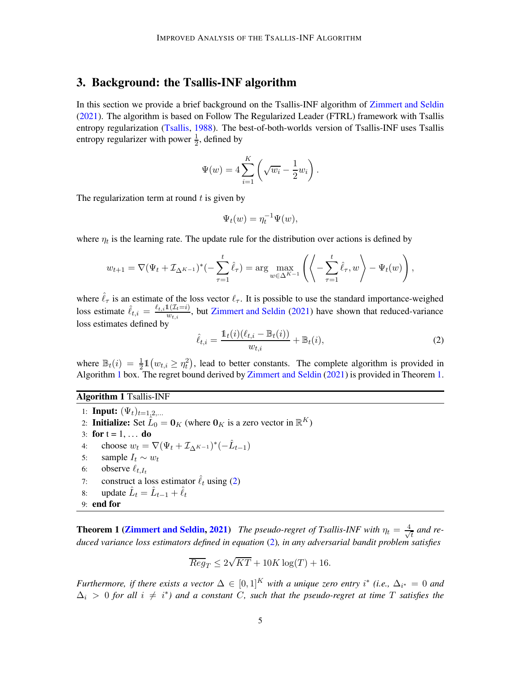# 3. Background: the Tsallis-INF algorithm

In this section we provide a brief background on the Tsallis-INF algorithm of [Zimmert and Seldin](#page-14-7) [\(2021](#page-14-7)). The algorithm is based on Follow The Regularized Leader (FTRL) framework with Tsallis entropy regularization [\(Tsallis](#page-14-11), [1988](#page-14-11)). The best-of-both-worlds version of Tsallis-INF uses Tsallis entropy regularizer with power  $\frac{1}{2}$ , defined by

$$
\Psi(w) = 4\sum_{i=1}^{K} \left(\sqrt{w_i} - \frac{1}{2}w_i\right).
$$

The regularization term at round  $t$  is given by

$$
\Psi_t(w) = \eta_t^{-1} \Psi(w),
$$

where  $\eta_t$  is the learning rate. The update rule for the distribution over actions is defined by

$$
w_{t+1} = \nabla (\Psi_t + \mathcal{I}_{\Delta^{K-1}})^*(-\sum_{\tau=1}^t \hat{\ell}_{\tau}) = \arg \max_{w \in \Delta^{K-1}} \left( \left\langle -\sum_{\tau=1}^t \hat{\ell}_{\tau}, w \right\rangle - \Psi_t(w) \right),
$$

where  $\hat{\ell}_{\tau}$  is an estimate of the loss vector  $\ell_{\tau}$ . It is possible to use the standard importance-weighed loss estimate  $\hat{\ell}_{t,i} = \frac{\ell_{t,i} 1(\mathcal{I}_t=i)}{w_{t,i}}$ , but [Zimmert and Seldin](#page-14-7) [\(2021](#page-14-7)) have shown that reduced-variance loss estimates defined by

<span id="page-4-2"></span>
$$
\hat{\ell}_{t,i} = \frac{\mathbb{1}_t(i)(\ell_{t,i} - \mathbb{B}_t(i))}{w_{t,i}} + \mathbb{B}_t(i),
$$
\n(2)

where  $\mathbb{B}_t(i) = \frac{1}{2} \mathbb{1}(w_{t,i} \geq \eta_t^2)$ , lead to better constants. The complete algorithm is provided in Algorithm [1](#page-4-0) box. The regret bound derived by [Zimmert and Seldin](#page-14-7) [\(2021](#page-14-7)) is provided in Theorem [1.](#page-4-1)

#### Algorithm 1 Tsallis-INF

1: **Input:**  $(\Psi_t)_{t=1,2,...}$ 2: Initialize: Set  $\hat{L}_0 = \mathbf{0}_K$  (where  $\mathbf{0}_K$  is a zero vector in  $\mathbb{R}^K$ ) 3: for  $t = 1, ...$  do 4: choose  $w_t = \nabla (\Psi_t + \mathcal{I}_{\Delta^{K-1}})^*(-\hat{L}_{t-1})$ 5: sample  $I_t \sim w_t$ <br>6: observe  $\ell_{t}$   $I_t$ observe  $\ell_{t,I_t}$ 7: construct a loss estimator  $\hat{\ell}_t$  using [\(2\)](#page-4-2) 8: update  $\hat{L}_t = \hat{L}_{t-1} + \hat{\ell}_t$ 9: end for

<span id="page-4-1"></span><span id="page-4-0"></span>**Theorem 1 [\(Zimmert and Seldin,](#page-14-7) [2021\)](#page-14-7)** *The pseudo-regret of Tsallis-INF with*  $\eta_t = \frac{4}{\sqrt{2}}$  $\frac{1}{t}$  and re*duced variance loss estimators defined in equation* [\(2\)](#page-4-2)*, in any adversarial bandit problem satisfies*

$$
\overline{Reg}_T \le 2\sqrt{KT} + 10K\log(T) + 16.
$$

*Furthermore, if there exists a vector*  $\Delta \in [0,1]^K$  *with a unique zero entry*  $i^*$  (*i.e.*,  $\Delta_{i^*} = 0$  *and*  $\Delta_i$  > 0 for all  $i \neq i^*$ ) and a constant C, such that the pseudo-regret at time T satisfies the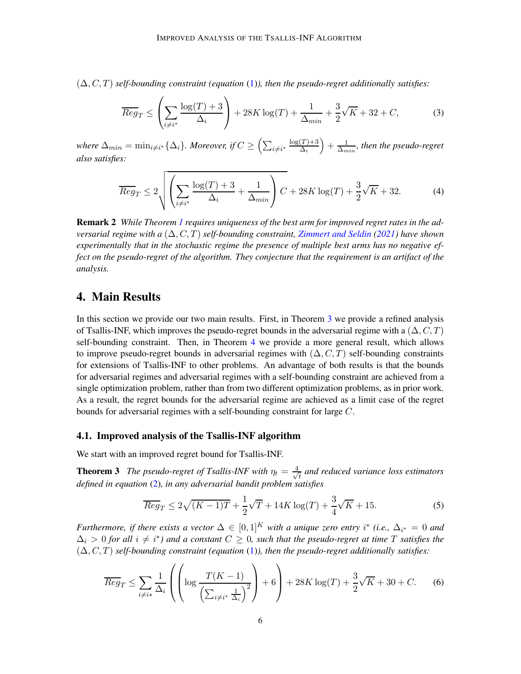(∆, C, T) *self-bounding constraint (equation* [\(1\)](#page-3-0)*), then the pseudo-regret additionally satisfies:*

<span id="page-5-2"></span>
$$
\overline{Reg}_T \le \left(\sum_{i \neq i^*} \frac{\log(T) + 3}{\Delta_i}\right) + 28K \log(T) + \frac{1}{\Delta_{min}} + \frac{3}{2}\sqrt{K} + 32 + C,\tag{3}
$$

where  $\Delta_{min} = \min_{i \neq i^*} {\{\Delta_i\}}$ . Moreover, if  $C \geq \left(\sum_{i \neq i^*} \frac{\log(T) + 3}{\Delta_i}\right)$  $\Delta_i$  $+\frac{1}{\Lambda}$  $\frac{1}{\Delta_{min}}$ , then the pseudo-regret *also satisfies:*

<span id="page-5-3"></span>
$$
\overline{Reg}_T \le 2\sqrt{\left(\sum_{i \ne i^*} \frac{\log(T) + 3}{\Delta_i} + \frac{1}{\Delta_{min}}\right)C} + 28K\log(T) + \frac{3}{2}\sqrt{K} + 32. \tag{4}
$$

Remark 2 *While Theorem [1](#page-4-1) requires uniqueness of the best arm for improved regret rates in the adversarial regime with a* (∆, C, T) *self-bounding constraint, [Zimmert and Seldin](#page-14-7) [\(2021\)](#page-14-7) have shown experimentally that in the stochastic regime the presence of multiple best arms has no negative effect on the pseudo-regret of the algorithm. They conjecture that the requirement is an artifact of the analysis.*

# 4. Main Results

In this section we provide our two main results. First, in Theorem [3](#page-5-0) we provide a refined analysis of Tsallis-INF, which improves the pseudo-regret bounds in the adversarial regime with a  $(\Delta, C, T)$ self-bounding constraint. Then, in Theorem [4](#page-6-0) we provide a more general result, which allows to improve pseudo-regret bounds in adversarial regimes with  $(\Delta, C, T)$  self-bounding constraints for extensions of Tsallis-INF to other problems. An advantage of both results is that the bounds for adversarial regimes and adversarial regimes with a self-bounding constraint are achieved from a single optimization problem, rather than from two different optimization problems, as in prior work. As a result, the regret bounds for the adversarial regime are achieved as a limit case of the regret bounds for adversarial regimes with a self-bounding constraint for large C.

#### 4.1. Improved analysis of the Tsallis-INF algorithm

We start with an improved regret bound for Tsallis-INF.

**Theorem 3** *The pseudo-regret of Tsallis-INF with*  $\eta_t = \frac{4}{\sqrt{2}}$ t *and reduced variance loss estimators defined in equation* [\(2\)](#page-4-2)*, in any adversarial bandit problem satisfies*

<span id="page-5-4"></span><span id="page-5-0"></span>
$$
\overline{Reg}_T \le 2\sqrt{(K-1)T} + \frac{1}{2}\sqrt{T} + 14K\log(T) + \frac{3}{4}\sqrt{K} + 15.
$$
 (5)

*Furthermore, if there exists a vector*  $\Delta \in [0,1]^K$  *with a unique zero entry*  $i^*$  (*i.e.*,  $\Delta_{i^*} = 0$  *and*  $\Delta_i > 0$  for all  $i \neq i^*$ ) and a constant  $C \geq 0$ , such that the pseudo-regret at time T satisfies the (∆, C, T) *self-bounding constraint (equation* [\(1\)](#page-3-0)*), then the pseudo-regret additionally satisfies:*

<span id="page-5-1"></span>
$$
\overline{Reg}_T \le \sum_{i \neq i*} \frac{1}{\Delta_i} \left( \left( \log \frac{T(K-1)}{\left(\sum_{i \neq i*} \frac{1}{\Delta_i}\right)^2} \right) + 6 \right) + 28K \log(T) + \frac{3}{2}\sqrt{K} + 30 + C. \tag{6}
$$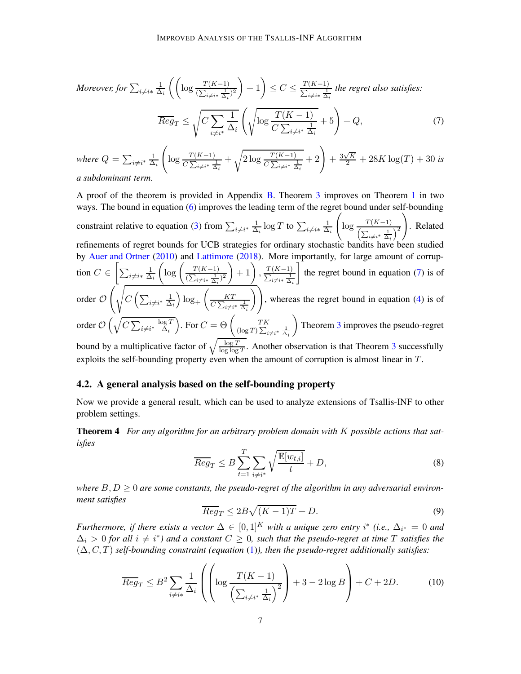Moreover, for 
$$
\sum_{i \neq i*} \frac{1}{\Delta_i} \left( \left( \log \frac{T(K-1)}{(\sum_{i \neq i*} \frac{1}{\Delta_i})^2} \right) + 1 \right) \leq C \leq \frac{T(K-1)}{\sum_{i \neq i*} \frac{1}{\Delta_i}} \text{ the regret also satisfies: }
$$
  

$$
\overline{Reg}_T \leq \sqrt{C \sum_{i \neq i*} \frac{1}{\Delta_i}} \left( \sqrt{\log \frac{T(K-1)}{C \sum_{i \neq i*} \frac{1}{\Delta_i}}} + 5 \right) + Q,
$$
 (7)

<span id="page-6-1"></span>where 
$$
Q = \sum_{i \neq i^*} \frac{1}{\Delta_i} \left( \log \frac{T(K-1)}{C \sum_{i \neq i^*} \frac{1}{\Delta_i}} + \sqrt{2 \log \frac{T(K-1)}{C \sum_{i \neq i^*} \frac{1}{\Delta_i}}} + 2 \right) + \frac{3\sqrt{K}}{2} + 28K \log(T) + 30
$$
 is a subdominant term.

A proof of the theorem is provided in Appendix [B.](#page-16-0) Theorem [3](#page-5-0) improves on Theorem [1](#page-4-1) in two ways. The bound in equation [\(6\)](#page-5-1) improves the leading term of the regret bound under self-bounding constraint relative to equation [\(3\)](#page-5-2) from  $\sum_{i \neq i^*} \frac{1}{\Delta}$  $\frac{1}{\Delta_i} \log T$  to  $\sum_{i \neq i*} \frac{1}{\Delta_i}$  $\Delta_i$  $\sqrt{ }$  $\log \frac{T(K-1)}{\left(\sum_{i\neq i^*} \frac{1}{\Delta_i}\right)^2}$  $\setminus$ . Related refinements of regret bounds for UCB strategies for ordinary stochastic bandits have been studied by [Auer and Ortner](#page-13-10) [\(2010\)](#page-13-10) and [Lattimore](#page-13-11) [\(2018](#page-13-11)). More importantly, for large amount of corruption  $C \in \left[ \sum_{i \neq i*} \frac{1}{\Delta} \right]$  $\Delta_i$  $\left(\log \left(\frac{T(K-1)}{(\sum_{i\neq i*}\frac{1}{\Delta_i})^2}\right)\right)$  $\left( +1 \right), \frac{T(K-1)}{\sum_{i \neq i*} \frac{1}{\Delta}}$  $i \neq i*$   $\frac{1}{\Delta_i}$ 1 the regret bound in equation [\(7\)](#page-6-1) is of order O  $\left( \begin{array}{c} \end{array} \right)$  $C\left(\sum_{i\neq i^*}\frac{1}{\Delta}\right)$  $\Delta_i$  $\log_{+}$  $\begin{pmatrix} & & KT \end{pmatrix}$  $C\sum_{i\neq i^*}\frac{1}{\Delta_i}$  $\sqrt{}$ , whereas the regret bound in equation [\(4\)](#page-5-3) is of order  $\mathcal{O}\left(\sqrt{C\sum_{i\neq i^*}\frac{\log T}{\Delta_i}}\right)$  $\Delta_i$ ). For  $C = \Theta \left( \frac{TK}{(\log T) \sum_{i=1}^{N}} \right)$  $(\log T) \sum_{i \neq i^*} \frac{1}{\Delta_i}$  $\setminus$ Theorem [3](#page-5-0) improves the pseudo-regret bound by a multiplicative factor of  $\sqrt{\frac{\log T}{\log \log T}}$ . Another observation is that Theorem [3](#page-5-0) successfully exploits the self-bounding property even when the amount of corruption is almost linear in T.

#### 4.2. A general analysis based on the self-bounding property

<span id="page-6-0"></span>Now we provide a general result, which can be used to analyze extensions of Tsallis-INF to other problem settings.

Theorem 4 *For any algorithm for an arbitrary problem domain with* K *possible actions that satisfies*

<span id="page-6-2"></span>
$$
\overline{Reg}_T \le B \sum_{t=1}^T \sum_{i \neq i^*} \sqrt{\frac{\mathbb{E}[w_{t,i}]}{t}} + D,\tag{8}
$$

where  $B, D \geq 0$  are some constants, the pseudo-regret of the algorithm in any adversarial environ*ment satisfies*

<span id="page-6-3"></span>
$$
\overline{Reg}_T \le 2B\sqrt{(K-1)T} + D. \tag{9}
$$

*Furthermore, if there exists a vector*  $\Delta \in [0,1]^K$  *with a unique zero entry*  $i^*$  (*i.e.*,  $\Delta_{i^*} = 0$  *and*  $\Delta_i > 0$  for all  $i \neq i^*$ ) and a constant  $C \geq 0$ , such that the pseudo-regret at time T satisfies the (∆, C, T) *self-bounding constraint (equation* [\(1\)](#page-3-0)*), then the pseudo-regret additionally satisfies:*

<span id="page-6-4"></span>
$$
\overline{Reg}_T \le B^2 \sum_{i \neq i*} \frac{1}{\Delta_i} \left( \left( \log \frac{T(K-1)}{\left( \sum_{i \neq i*} \frac{1}{\Delta_i} \right)^2} \right) + 3 - 2 \log B \right) + C + 2D. \tag{10}
$$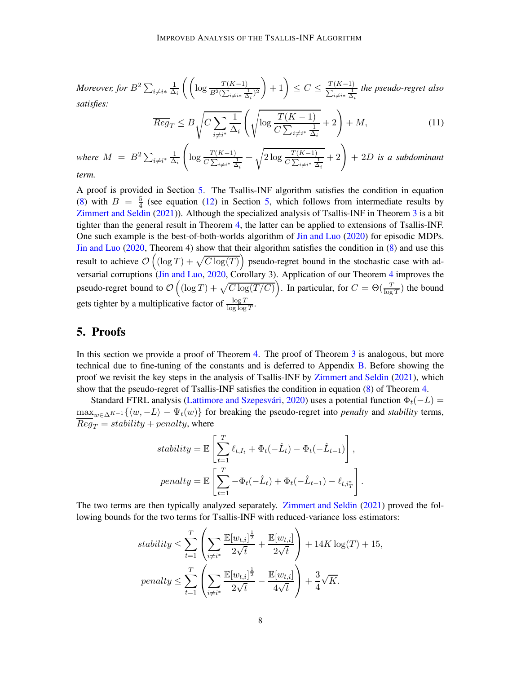Moreover, for  $B^2\sum_{i\neq i*} \frac{1}{\Delta}$  $\frac{1}{\Delta_i} \left( \left( \log \frac{T(K-1)}{B^2 (\sum_{i \neq i*} \frac{1}{\Delta_i})^2} \right) \right)$  $+1$   $\leq C \leq \frac{T(K-1)}{\sum_{i \neq i*} \frac{1}{\Delta}}$  $i\neq i*$   $\frac{1}{\Delta_i}$ *the pseudo-regret also satisfies:*

<span id="page-7-1"></span>
$$
\overline{Reg}_T \le B \sqrt{C \sum_{i \ne i^*} \frac{1}{\Delta_i} \left( \sqrt{\log \frac{T(K-1)}{C \sum_{i \ne i^*} \frac{1}{\Delta_i}}} + 2 \right)} + M,\tag{11}
$$

where  $M = B^2 \sum_{i \neq i^*} \frac{1}{\Delta}$  $\Delta_i$  $\sqrt{ }$  $\log \frac{T(K-1)}{C \sum_{i \neq i^*} \frac{1}{\Delta_i}}$  $+\sqrt{2\log{\frac{T(K-1)}{C\sum_{i\neq i^*}\frac{1}{\Delta_i}}}}$  $+2+2D$  *is a subdominant term.*

A proof is provided in Section [5.](#page-7-0) The Tsallis-INF algorithm satisfies the condition in equation [\(8\)](#page-6-2) with  $B = \frac{5}{4}$  $\frac{5}{4}$  (see equation [\(12\)](#page-8-0) in Section [5,](#page-7-0) which follows from intermediate results by [Zimmert and Seldin](#page-14-7) [\(2021](#page-14-7))). Although the specialized analysis of Tsallis-INF in Theorem [3](#page-5-0) is a bit tighter than the general result in Theorem [4,](#page-6-0) the latter can be applied to extensions of Tsallis-INF. One such example is the best-of-both-worlds algorithm of [Jin and Luo](#page-13-9) [\(2020](#page-13-9)) for episodic MDPs. [Jin and Luo](#page-13-9) [\(2020](#page-13-9), Theorem 4) show that their algorithm satisfies the condition in [\(8\)](#page-6-2) and use this result to achieve  $\mathcal{O}\left((\log T) + \sqrt{C \log(T)}\right)$  pseudo-regret bound in the stochastic case with ad-versarial corruptions [\(Jin and Luo,](#page-13-9) [2020](#page-13-9), Corollary 3). Application of our Theorem [4](#page-6-0) improves the pseudo-regret bound to  $\mathcal{O}\left((\log T) + \sqrt{C \log(T/C)}\right)$ . In particular, for  $C = \Theta(\frac{T}{\log T})$  the bound gets tighter by a multiplicative factor of  $\frac{\log T}{\log \log T}$ .

# <span id="page-7-0"></span>5. Proofs

In this section we provide a proof of Theorem [4.](#page-6-0) The proof of Theorem [3](#page-5-0) is analogous, but more technical due to fine-tuning of the constants and is deferred to Appendix [B.](#page-16-0) Before showing the proof we revisit the key steps in the analysis of Tsallis-INF by [Zimmert and Seldin](#page-14-7) [\(2021](#page-14-7)), which show that the pseudo-regret of Tsallis-INF satisfies the condition in equation [\(8\)](#page-6-2) of Theorem [4.](#page-6-0)

Standard FTRL analysis (Lattimore and Szepesvári, [2020](#page-13-12)) uses a potential function  $\Phi_t(-L)$  =  $\max_{w \in \Delta^{K-1}} \{\langle w, -L \rangle - \Psi_t(w)\}\$  for breaking the pseudo-regret into *penalty* and *stability* terms,  $\overline{Reg}_T = stability + penalty$ , where

$$
stability = \mathbb{E}\left[\sum_{t=1}^{T} \ell_{t,I_t} + \Phi_t(-\hat{L}_t) - \Phi_t(-\hat{L}_{t-1})\right],
$$

$$
penalty = \mathbb{E}\left[\sum_{t=1}^{T} -\Phi_t(-\hat{L}_t) + \Phi_t(-\hat{L}_{t-1}) - \ell_{t,i_T^*}\right]
$$

.

The two terms are then typically analyzed separately. [Zimmert and Seldin](#page-14-7) [\(2021\)](#page-14-7) proved the following bounds for the two terms for Tsallis-INF with reduced-variance loss estimators:

$$
stability \leq \sum_{t=1}^{T} \left( \sum_{i \neq i^{*}} \frac{\mathbb{E}[w_{t,i}]^{\frac{1}{2}}}{2\sqrt{t}} + \frac{\mathbb{E}[w_{t,i}]}{2\sqrt{t}} \right) + 14K \log(T) + 15,
$$
  

$$
penalty \leq \sum_{t=1}^{T} \left( \sum_{i \neq i^{*}} \frac{\mathbb{E}[w_{t,i}]^{\frac{1}{2}}}{2\sqrt{t}} - \frac{\mathbb{E}[w_{t,i}]}{4\sqrt{t}} \right) + \frac{3}{4}\sqrt{K}.
$$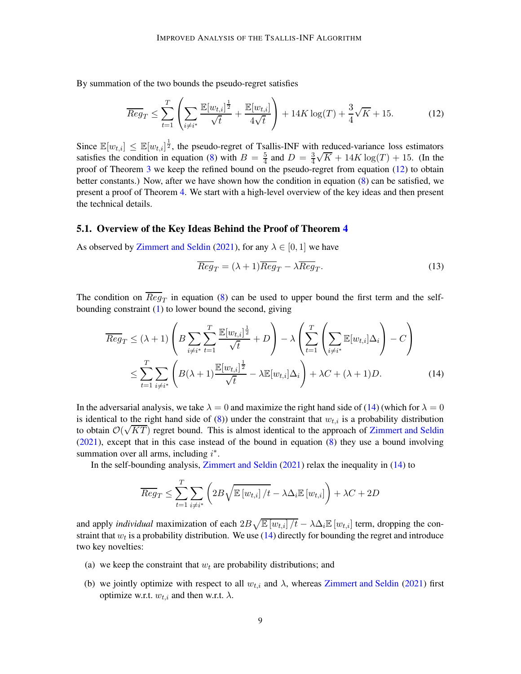By summation of the two bounds the pseudo-regret satisfies

<span id="page-8-0"></span>
$$
\overline{Reg}_T \le \sum_{t=1}^T \left( \sum_{i \neq i^*} \frac{\mathbb{E}[w_{t,i}]^{\frac{1}{2}}}{\sqrt{t}} + \frac{\mathbb{E}[w_{t,i}]}{4\sqrt{t}} \right) + 14K \log(T) + \frac{3}{4}\sqrt{K} + 15. \tag{12}
$$

Since  $\mathbb{E}[w_{t,i}] \leq \mathbb{E}[w_{t,i}]^{\frac{1}{2}}$ , the pseudo-regret of Tsallis-INF with reduced-variance loss estimators satisfies the condition in equation [\(8\)](#page-6-2) with  $B = \frac{5}{4}$  $\frac{5}{4}$  and  $D = \frac{3}{4}$ 4  $\sqrt{K} + 14K \log(T) + 15$ . (In the proof of Theorem [3](#page-5-0) we keep the refined bound on the pseudo-regret from equation [\(12\)](#page-8-0) to obtain better constants.) Now, after we have shown how the condition in equation [\(8\)](#page-6-2) can be satisfied, we present a proof of Theorem [4.](#page-6-0) We start with a high-level overview of the key ideas and then present the technical details.

#### 5.1. Overview of the Key Ideas Behind the Proof of Theorem [4](#page-6-0)

As observed by [Zimmert and Seldin](#page-14-7) [\(2021\)](#page-14-7), for any  $\lambda \in [0, 1]$  we have

<span id="page-8-1"></span>
$$
\overline{Reg}_T = (\lambda + 1)\overline{Reg}_T - \lambda \overline{Reg}_T.
$$
\n(13)

The condition on  $Reg_T$  in equation [\(8\)](#page-6-2) can be used to upper bound the first term and the selfbounding constraint [\(1\)](#page-3-0) to lower bound the second, giving

$$
\overline{Reg}_T \le (\lambda + 1) \left( B \sum_{i \neq i^*} \sum_{t=1}^T \frac{\mathbb{E}[w_{t,i}]^{\frac{1}{2}}}{\sqrt{t}} + D \right) - \lambda \left( \sum_{t=1}^T \left( \sum_{i \neq i^*} \mathbb{E}[w_{t,i}] \Delta_i \right) - C \right)
$$
  

$$
\le \sum_{t=1}^T \sum_{i \neq i^*} \left( B(\lambda + 1) \frac{\mathbb{E}[w_{t,i}]^{\frac{1}{2}}}{\sqrt{t}} - \lambda \mathbb{E}[w_{t,i}] \Delta_i \right) + \lambda C + (\lambda + 1)D.
$$
 (14)

In the adversarial analysis, we take  $\lambda = 0$  and maximize the right hand side of [\(14\)](#page-8-1) (which for  $\lambda = 0$ is identical to the right hand side of [\(8\)](#page-6-2)) under the constraint that  $w_{t,i}$  is a probability distribution to obtain  $\mathcal{O}(\sqrt{KT})$  regret bound. This is almost identical to the approach of [Zimmert and Seldin](#page-14-7) [\(2021](#page-14-7)), except that in this case instead of the bound in equation [\(8\)](#page-6-2) they use a bound involving summation over all arms, including  $i^*$ .

In the self-bounding analysis, [Zimmert and Seldin](#page-14-7) [\(2021](#page-14-7)) relax the inequality in [\(14\)](#page-8-1) to

$$
\overline{Reg}_T \leq \sum_{t=1}^T \sum_{i \neq i^*} \left( 2B \sqrt{\mathbb{E}\left[w_{t,i}\right] / t} - \lambda \Delta_i \mathbb{E}\left[w_{t,i}\right] \right) + \lambda C + 2D
$$

and apply *individual* maximization of each  $2B\sqrt{\mathbb{E}[w_{t,i}]/t} - \lambda\Delta_i \mathbb{E}[w_{t,i}]$  term, dropping the constraint that  $w_t$  is a probability distribution. We use [\(14\)](#page-8-1) directly for bounding the regret and introduce two key novelties:

- (a) we keep the constraint that  $w_t$  are probability distributions; and
- (b) we jointly optimize with respect to all  $w_{t,i}$  and  $\lambda$ , whereas [Zimmert and Seldin](#page-14-7) [\(2021\)](#page-14-7) first optimize w.r.t.  $w_{t,i}$  and then w.r.t.  $\lambda$ .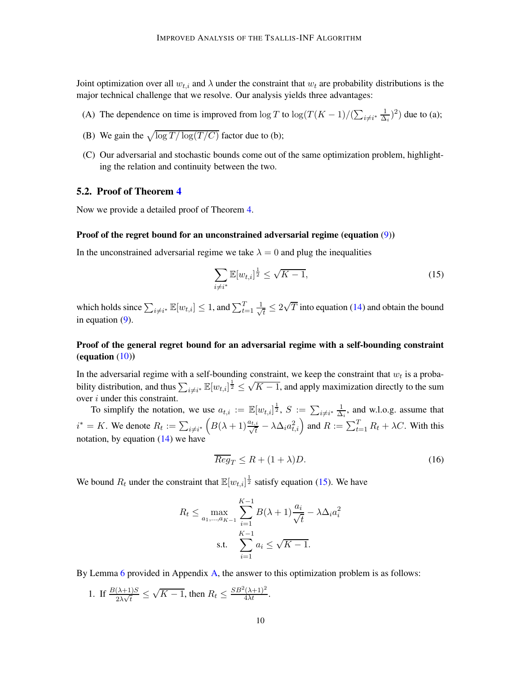Joint optimization over all  $w_{t,i}$  and  $\lambda$  under the constraint that  $w_t$  are probability distributions is the major technical challenge that we resolve. Our analysis yields three advantages:

- (A) The dependence on time is improved from  $\log T$  to  $\log(T(K-1)/(\sum_{i \neq i^*} \frac{1}{\Delta})$  $\frac{1}{\Delta_i}$ )<sup>2</sup>) due to (a);
- (B) We gain the  $\sqrt{\log T / \log(T / C)}$  factor due to (b);
- (C) Our adversarial and stochastic bounds come out of the same optimization problem, highlighting the relation and continuity between the two.

### 5.2. Proof of Theorem [4](#page-6-0)

Now we provide a detailed proof of Theorem [4.](#page-6-0)

#### Proof of the regret bound for an unconstrained adversarial regime (equation [\(9\)](#page-6-3))

In the unconstrained adversarial regime we take  $\lambda = 0$  and plug the inequalities

<span id="page-9-0"></span>
$$
\sum_{i \neq i^*} \mathbb{E}[w_{t,i}]^{\frac{1}{2}} \leq \sqrt{K - 1},\tag{15}
$$

which holds since  $\sum_{i \neq i^*} \mathbb{E}[w_{t,i}] \leq 1$ , and  $\sum_{t=1}^T \frac{1}{\sqrt{n}}$  $\frac{1}{\tau} \leq 2\sqrt{T}$  into equation [\(14\)](#page-8-1) and obtain the bound in equation [\(9\)](#page-6-3).

### Proof of the general regret bound for an adversarial regime with a self-bounding constraint (equation  $(10)$ )

In the adversarial regime with a self-bounding constraint, we keep the constraint that  $w_t$  is a probability distribution, and thus  $\sum_{i \neq i^*} \mathbb{E}[w_{t,i}]^{\frac{1}{2}} \leq \sqrt{K-1}$ , and apply maximization directly to the sum over *i* under this constraint.

To simplify the notation, we use  $a_{t,i} := \mathbb{E}[w_{t,i}]^{\frac{1}{2}}$ ,  $S := \sum_{i \neq i^*} \frac{1}{\Delta}$  $\frac{1}{\Delta_i}$ , and w.l.o.g. assume that  $i^* = K$ . We denote  $R_t := \sum_{i \neq i^*} \left( B(\lambda + 1) \frac{a_{t,i}}{\sqrt{t}} \right)$  $\frac{t_i}{t} - \lambda \Delta_i a_{t,i}^2 \Big)$  and  $R := \sum_{t=1}^T R_t + \lambda C$ . With this notation, by equation  $(14)$  we have

<span id="page-9-1"></span>
$$
\overline{Reg}_T \le R + (1 + \lambda)D. \tag{16}
$$

We bound  $R_t$  under the constraint that  $\mathbb{E}[w_{t,i}]^{\frac{1}{2}}$  satisfy equation [\(15\)](#page-9-0). We have

$$
R_t \le \max_{a_1, ..., a_{K-1}} \sum_{i=1}^{K-1} B(\lambda + 1) \frac{a_i}{\sqrt{t}} - \lambda \Delta_i a_i^2
$$
  
s.t. 
$$
\sum_{i=1}^{K-1} a_i \le \sqrt{K-1}.
$$

By Lemma [6](#page-15-0) provided in Appendix [A,](#page-15-1) the answer to this optimization problem is as follows:

1. If  $\frac{B(\lambda+1)S}{2\lambda\sqrt{t}} \leq$  $\sqrt{K-1}$ , then  $R_t \leq \frac{SB^2(\lambda+1)^2}{4\lambda t}$ .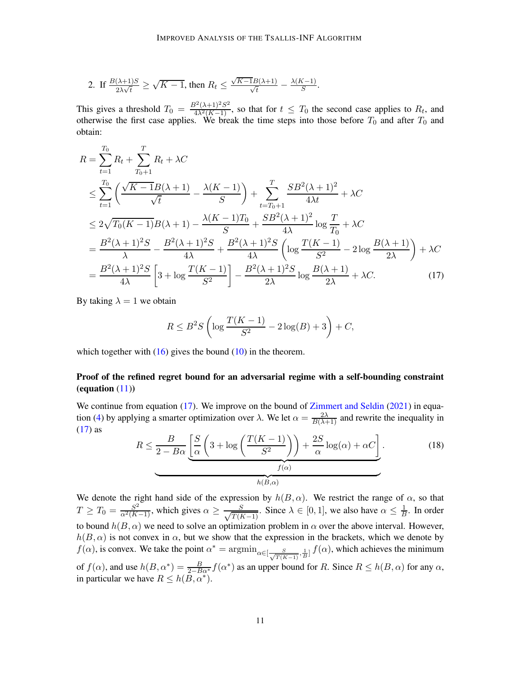2. If 
$$
\frac{B(\lambda+1)S}{2\lambda\sqrt{t}} \ge \sqrt{K-1}
$$
, then  $R_t \le \frac{\sqrt{K-1}B(\lambda+1)}{\sqrt{t}} - \frac{\lambda(K-1)}{S}$ .

This gives a threshold  $T_0 = \frac{B^2(\lambda+1)^2S^2}{4\lambda^2(K-1)}$ , so that for  $t \leq T_0$  the second case applies to  $R_t$ , and otherwise the first case applies. We break the time steps into those before  $T_0$  and after  $T_0$  and obtain:

$$
R = \sum_{t=1}^{T_0} R_t + \sum_{T_0+1}^{T} R_t + \lambda C
$$
  
\n
$$
\leq \sum_{t=1}^{T_0} \left( \frac{\sqrt{K-1}B(\lambda+1)}{\sqrt{t}} - \frac{\lambda(K-1)}{S} \right) + \sum_{t=T_0+1}^{T} \frac{SB^2(\lambda+1)^2}{4\lambda t} + \lambda C
$$
  
\n
$$
\leq 2\sqrt{T_0(K-1)}B(\lambda+1) - \frac{\lambda(K-1)T_0}{S} + \frac{SB^2(\lambda+1)^2}{4\lambda} \log \frac{T}{T_0} + \lambda C
$$
  
\n
$$
= \frac{B^2(\lambda+1)^2S}{\lambda} - \frac{B^2(\lambda+1)^2S}{4\lambda} + \frac{B^2(\lambda+1)^2S}{4\lambda} \left( \log \frac{T(K-1)}{S^2} - 2\log \frac{B(\lambda+1)}{2\lambda} \right) + \lambda C
$$
  
\n
$$
= \frac{B^2(\lambda+1)^2S}{4\lambda} \left[ 3 + \log \frac{T(K-1)}{S^2} \right] - \frac{B^2(\lambda+1)^2S}{2\lambda} \log \frac{B(\lambda+1)}{2\lambda} + \lambda C.
$$
 (17)

By taking  $\lambda = 1$  we obtain

<span id="page-10-0"></span>
$$
R \le B^2 S \left( \log \frac{T(K-1)}{S^2} - 2\log(B) + 3 \right) + C,
$$

which together with  $(16)$  gives the bound  $(10)$  in the theorem.

### Proof of the refined regret bound for an adversarial regime with a self-bounding constraint (equation  $(11)$ )

We continue from equation [\(17\)](#page-10-0). We improve on the bound of [Zimmert and Seldin](#page-14-7) [\(2021](#page-14-7)) in equa-tion [\(4\)](#page-5-3) by applying a smarter optimization over  $\lambda$ . We let  $\alpha = \frac{2\lambda}{B(\lambda+1)}$  and rewrite the inequality in  $(17)$  as

<span id="page-10-1"></span>
$$
R \le \frac{B}{2 - B\alpha} \underbrace{\left[\frac{S}{\alpha} \left(3 + \log\left(\frac{T(K-1)}{S^2}\right)\right) + \frac{2S}{\alpha} \log(\alpha) + \alpha C\right]}_{h(B,\alpha)}.
$$
 (18)

We denote the right hand side of the expression by  $h(B, \alpha)$ . We restrict the range of  $\alpha$ , so that  $T \geq T_0 = \frac{S^2}{\alpha^2 (K-1)}$ , which gives  $\alpha \geq \frac{S}{\sqrt{T(I)}}$  $\frac{S}{T(K-1)}$ . Since  $\lambda \in [0,1]$ , we also have  $\alpha \leq \frac{1}{B}$  $\frac{1}{B}$ . In order to bound  $h(B, \alpha)$  we need to solve an optimization problem in  $\alpha$  over the above interval. However,  $h(B, \alpha)$  is not convex in  $\alpha$ , but we show that the expression in the brackets, which we denote by  $f(\alpha)$ , is convex. We take the point  $\alpha^* = \arg\min_{\alpha \in [\frac{S}{\sqrt{T(K-1)}}, \frac{1}{B}]} f(\alpha)$ , which achieves the minimum of  $f(\alpha)$ , and use  $h(B, \alpha^*) = \frac{B}{2-\beta\alpha^*} f(\alpha^*)$  as an upper bound for R. Since  $R \le h(B, \alpha)$  for any  $\alpha$ , in particular we have  $R \leq h(B, \alpha^*)$ .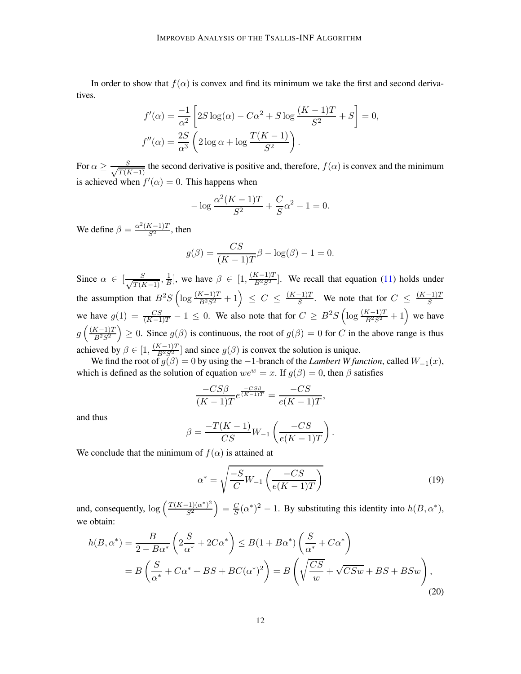In order to show that  $f(\alpha)$  is convex and find its minimum we take the first and second derivatives.

$$
f'(\alpha) = \frac{-1}{\alpha^2} \left[ 2S \log(\alpha) - C\alpha^2 + S \log \frac{(K-1)T}{S^2} + S \right] = 0,
$$
  

$$
f''(\alpha) = \frac{2S}{\alpha^3} \left( 2 \log \alpha + \log \frac{T(K-1)}{S^2} \right).
$$

For  $\alpha \geq \frac{S}{\sqrt{T(F)}}$  $T(K-1)$ the second derivative is positive and, therefore,  $f(\alpha)$  is convex and the minimum is achieved when  $f'(\alpha) = 0$ . This happens when

$$
-\log \frac{\alpha^2 (K-1)T}{S^2} + \frac{C}{S} \alpha^2 - 1 = 0.
$$

We define  $\beta = \frac{\alpha^2 (K-1)T}{S^2}$ , then

$$
g(\beta) = \frac{CS}{(K-1)T}\beta - \log(\beta) - 1 = 0.
$$

Since  $\alpha \in \left[\frac{S}{\sqrt{T(f)}}\right]$  $T(K-1)$  $,\frac{1}{B}$  $\frac{1}{B}$ , we have  $\beta \in [1, \frac{(K-1)T}{B^2S^2}]$ . We recall that equation [\(11\)](#page-7-1) holds under the assumption that  $B^2S\left(\log \frac{(K-1)T}{B^2S^2}+1\right) \leq C \leq \frac{(K-1)T}{S}$ . We note that for  $C \leq \frac{(K-1)T}{S}$ we have  $g(1) = \frac{CS}{(K-1)T} - 1 \le 0$ . We also note that for  $C \ge B^2S \left( \log \frac{(K-1)T}{B^2S^2} + 1 \right)$  we have  $g\left(\frac{(K-1)T}{B^2S^2}\right)$  $\big\}\geq 0$ . Since  $g(\beta)$  is continuous, the root of  $g(\beta)=0$  for C in the above range is thus achieved by  $\beta \in [1, \frac{(K-1)T}{B^2S^2}]$  and since  $g(\beta)$  is convex the solution is unique.

We find the root of  $g(\beta) = 0$  by using the  $-1$ -branch of the *Lambert W function*, called  $W_{-1}(x)$ , which is defined as the solution of equation  $we^w = x$ . If  $g(\beta) = 0$ , then  $\beta$  satisfies

$$
\frac{-CS\beta}{(K-1)T}e^{\frac{-CS\beta}{(K-1)T}} = \frac{-CS}{e(K-1)T},
$$

and thus

$$
\beta = \frac{-T(K-1)}{CS}W_{-1}\left(\frac{-CS}{e(K-1)T}\right).
$$

We conclude that the minimum of  $f(\alpha)$  is attained at

<span id="page-11-1"></span><span id="page-11-0"></span>
$$
\alpha^* = \sqrt{\frac{-S}{C}W_{-1}\left(\frac{-CS}{e(K-1)T}\right)}\tag{19}
$$

and, consequently,  $\log \left( \frac{T(K-1)(\alpha^*)^2}{S^2} \right)$  $\mathbb{S}^2$  $= \frac{C}{S}(\alpha^*)^2 - 1$ . By substituting this identity into  $h(B, \alpha^*)$ , we obtain:

$$
h(B, \alpha^*) = \frac{B}{2 - B\alpha^*} \left( 2\frac{S}{\alpha^*} + 2C\alpha^* \right) \le B(1 + B\alpha^*) \left( \frac{S}{\alpha^*} + C\alpha^* \right)
$$
  
=  $B\left( \frac{S}{\alpha^*} + C\alpha^* + BS + BC(\alpha^*)^2 \right) = B\left( \sqrt{\frac{CS}{w}} + \sqrt{CSw} + BS + BSw \right),$  (20)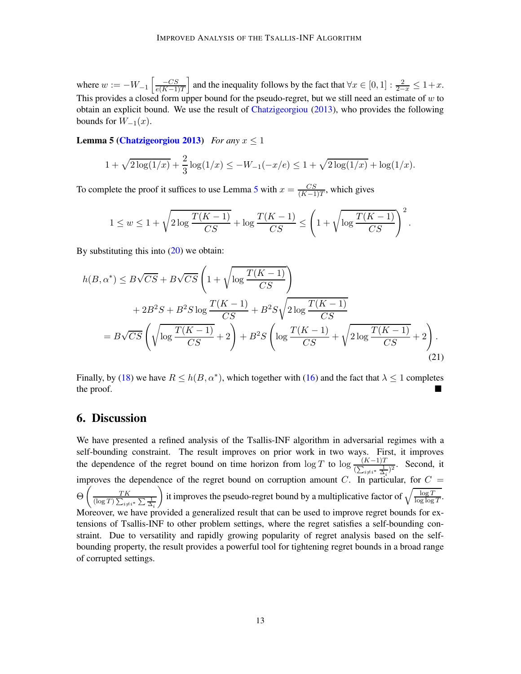where  $w := -W_{-1} \left[ \frac{-CS}{e(K-1)} \right]$  $e(K-1)T$ ] and the inequality follows by the fact that  $\forall x \in [0, 1] : \frac{2}{2-x} \leq 1+x$ . This provides a closed form upper bound for the pseudo-regret, but we still need an estimate of  $w$  to obtain an explicit bound. We use the result of [Chatzigeorgiou](#page-13-13) [\(2013](#page-13-13)), who provides the following bounds for  $W_{-1}(x)$ .

**Lemma 5 [\(Chatzigeorgiou 2013](#page-13-13))** *For any*  $x \le 1$ 

<span id="page-12-0"></span>
$$
1 + \sqrt{2\log(1/x)} + \frac{2}{3}\log(1/x) \le -W_{-1}(-x/e) \le 1 + \sqrt{2\log(1/x)} + \log(1/x).
$$

To complete the proof it suffices to use Lemma [5](#page-12-0) with  $x = \frac{CS}{(K-1)}$  $\frac{CS}{(K-1)T}$ , which gives

$$
1 \le w \le 1 + \sqrt{2\log\frac{T(K-1)}{CS}} + \log\frac{T(K-1)}{CS} \le \left(1 + \sqrt{\log\frac{T(K-1)}{CS}}\right)^2
$$

<span id="page-12-1"></span>.

By substituting this into  $(20)$  we obtain:

$$
h(B, \alpha^*) \leq B\sqrt{CS} + B\sqrt{CS} \left( 1 + \sqrt{\log \frac{T(K-1)}{CS}} \right)
$$
  
+ 
$$
2B^2S + B^2S \log \frac{T(K-1)}{CS} + B^2S \sqrt{2 \log \frac{T(K-1)}{CS}}
$$
  
= 
$$
B\sqrt{CS} \left( \sqrt{\log \frac{T(K-1)}{CS}} + 2 \right) + B^2S \left( \log \frac{T(K-1)}{CS} + \sqrt{2 \log \frac{T(K-1)}{CS}} + 2 \right).
$$
 (21)

Finally, by [\(18\)](#page-10-1) we have  $R \le h(B, \alpha^*)$ , which together with [\(16\)](#page-9-1) and the fact that  $\lambda \le 1$  completes the proof.

# 6. Discussion

We have presented a refined analysis of the Tsallis-INF algorithm in adversarial regimes with a self-bounding constraint. The result improves on prior work in two ways. First, it improves the dependence of the regret bound on time horizon from  $\log T$  to  $\log \frac{(K-1)T}{(\sum_{i\neq i^*} \frac{1}{\Delta_i})^2}$ . Second, it improves the dependence of the regret bound on corruption amount C. In particular, for  $C =$ Θ  $\begin{pmatrix} & & T K \end{pmatrix}$  $(\log T) \sum_{i \neq i^*} \sum \frac{1}{\Delta_i}$ it improves the pseudo-regret bound by a multiplicative factor of  $\sqrt{\frac{\log T}{\log \log T}}$ . Moreover, we have provided a generalized result that can be used to improve regret bounds for extensions of Tsallis-INF to other problem settings, where the regret satisfies a self-bounding constraint. Due to versatility and rapidly growing popularity of regret analysis based on the selfbounding property, the result provides a powerful tool for tightening regret bounds in a broad range of corrupted settings.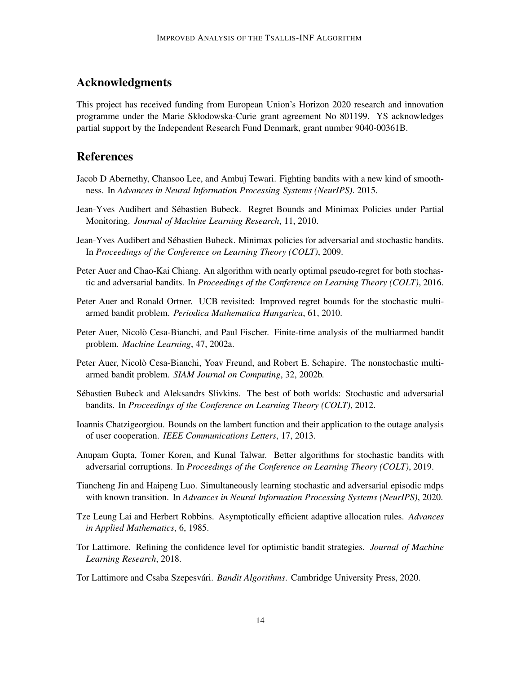# Acknowledgments

This project has received funding from European Union's Horizon 2020 research and innovation programme under the Marie Skłodowska-Curie grant agreement No 801199. YS acknowledges partial support by the Independent Research Fund Denmark, grant number 9040-00361B.

# References

- <span id="page-13-8"></span>Jacob D Abernethy, Chansoo Lee, and Ambuj Tewari. Fighting bandits with a new kind of smoothness. In *Advances in Neural Information Processing Systems (NeurIPS)*. 2015.
- <span id="page-13-7"></span>Jean-Yves Audibert and Sébastien Bubeck. Regret Bounds and Minimax Policies under Partial Monitoring. *Journal of Machine Learning Research*, 11, 2010.
- <span id="page-13-6"></span>Jean-Yves Audibert and Sébastien Bubeck. Minimax policies for adversarial and stochastic bandits. In *Proceedings of the Conference on Learning Theory (COLT)*, 2009.
- <span id="page-13-4"></span>Peter Auer and Chao-Kai Chiang. An algorithm with nearly optimal pseudo-regret for both stochastic and adversarial bandits. In *Proceedings of the Conference on Learning Theory (COLT)*, 2016.
- <span id="page-13-10"></span>Peter Auer and Ronald Ortner. UCB revisited: Improved regret bounds for the stochastic multiarmed bandit problem. *Periodica Mathematica Hungarica*, 61, 2010.
- <span id="page-13-1"></span>Peter Auer, Nicolò Cesa-Bianchi, and Paul Fischer. Finite-time analysis of the multiarmed bandit problem. *Machine Learning*, 47, 2002a.
- <span id="page-13-2"></span>Peter Auer, Nicolò Cesa-Bianchi, Yoav Freund, and Robert E. Schapire. The nonstochastic multiarmed bandit problem. *SIAM Journal on Computing*, 32, 2002b.
- <span id="page-13-3"></span>Sébastien Bubeck and Aleksandrs Slivkins. The best of both worlds: Stochastic and adversarial bandits. In *Proceedings of the Conference on Learning Theory (COLT)*, 2012.
- <span id="page-13-13"></span>Ioannis Chatzigeorgiou. Bounds on the lambert function and their application to the outage analysis of user cooperation. *IEEE Communications Letters*, 17, 2013.
- <span id="page-13-5"></span>Anupam Gupta, Tomer Koren, and Kunal Talwar. Better algorithms for stochastic bandits with adversarial corruptions. In *Proceedings of the Conference on Learning Theory (COLT)*, 2019.
- <span id="page-13-9"></span>Tiancheng Jin and Haipeng Luo. Simultaneously learning stochastic and adversarial episodic mdps with known transition. In *Advances in Neural Information Processing Systems (NeurIPS)*, 2020.
- <span id="page-13-0"></span>Tze Leung Lai and Herbert Robbins. Asymptotically efficient adaptive allocation rules. *Advances in Applied Mathematics*, 6, 1985.
- <span id="page-13-11"></span>Tor Lattimore. Refining the confidence level for optimistic bandit strategies. *Journal of Machine Learning Research*, 2018.
- <span id="page-13-12"></span>Tor Lattimore and Csaba Szepesvári. *Bandit Algorithms*. Cambridge University Press, 2020.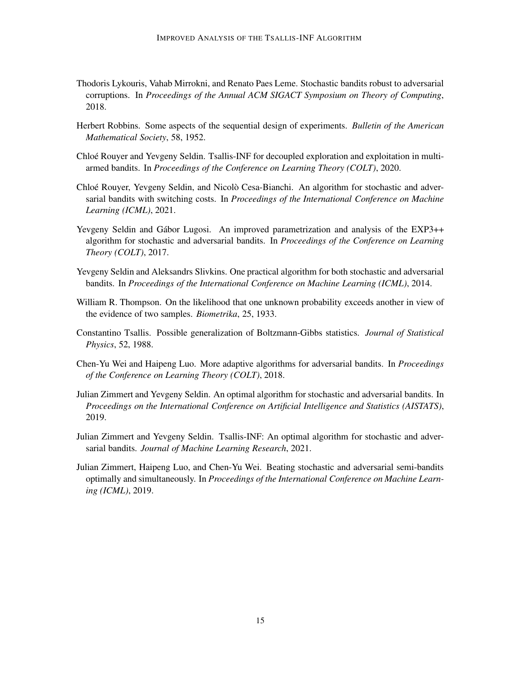- <span id="page-14-5"></span>Thodoris Lykouris, Vahab Mirrokni, and Renato Paes Leme. Stochastic bandits robust to adversarial corruptions. In *Proceedings of the Annual ACM SIGACT Symposium on Theory of Computing*, 2018.
- <span id="page-14-1"></span>Herbert Robbins. Some aspects of the sequential design of experiments. *Bulletin of the American Mathematical Society*, 58, 1952.
- <span id="page-14-9"></span>Chlo´e Rouyer and Yevgeny Seldin. Tsallis-INF for decoupled exploration and exploitation in multiarmed bandits. In *Proceedings of the Conference on Learning Theory (COLT)*, 2020.
- <span id="page-14-10"></span>Chloé Rouyer, Yevgeny Seldin, and Nicolò Cesa-Bianchi. An algorithm for stochastic and adversarial bandits with switching costs. In *Proceedings of the International Conference on Machine Learning (ICML)*, 2021.
- <span id="page-14-3"></span>Yevgeny Seldin and Gábor Lugosi. An improved parametrization and analysis of the EXP3++ algorithm for stochastic and adversarial bandits. In *Proceedings of the Conference on Learning Theory (COLT)*, 2017.
- <span id="page-14-2"></span>Yevgeny Seldin and Aleksandrs Slivkins. One practical algorithm for both stochastic and adversarial bandits. In *Proceedings of the International Conference on Machine Learning (ICML)*, 2014.
- <span id="page-14-0"></span>William R. Thompson. On the likelihood that one unknown probability exceeds another in view of the evidence of two samples. *Biometrika*, 25, 1933.
- <span id="page-14-11"></span>Constantino Tsallis. Possible generalization of Boltzmann-Gibbs statistics. *Journal of Statistical Physics*, 52, 1988.
- <span id="page-14-4"></span>Chen-Yu Wei and Haipeng Luo. More adaptive algorithms for adversarial bandits. In *Proceedings of the Conference on Learning Theory (COLT)*, 2018.
- <span id="page-14-6"></span>Julian Zimmert and Yevgeny Seldin. An optimal algorithm for stochastic and adversarial bandits. In *Proceedings on the International Conference on Artificial Intelligence and Statistics (AISTATS)*, 2019.
- <span id="page-14-7"></span>Julian Zimmert and Yevgeny Seldin. Tsallis-INF: An optimal algorithm for stochastic and adversarial bandits. *Journal of Machine Learning Research*, 2021.
- <span id="page-14-8"></span>Julian Zimmert, Haipeng Luo, and Chen-Yu Wei. Beating stochastic and adversarial semi-bandits optimally and simultaneously. In *Proceedings of the International Conference on Machine Learning (ICML)*, 2019.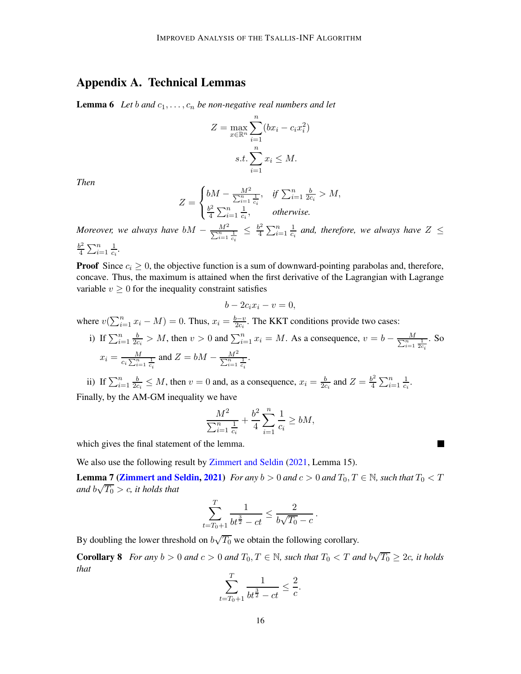# <span id="page-15-1"></span><span id="page-15-0"></span>Appendix A. Technical Lemmas

**Lemma 6** Let b and  $c_1, \ldots, c_n$  be non-negative real numbers and let

$$
Z = \max_{x \in \mathbb{R}^n} \sum_{i=1}^n (bx_i - c_i x_i^2)
$$
  
s.t. 
$$
\sum_{i=1}^n x_i \le M.
$$

*Then*

$$
Z = \begin{cases} bM - \frac{M^2}{\sum_{i=1}^n \frac{1}{c_i}}, & \text{if } \sum_{i=1}^n \frac{b}{2c_i} > M, \\ \frac{b^2}{4} \sum_{i=1}^n \frac{1}{c_i}, & \text{otherwise.} \end{cases}
$$

*Moreover, we always have*  $bM - \frac{M^2}{\sum_{i=1}^n \frac{1}{c_i}} \leq \frac{b^2}{4}$  $\frac{b^2}{4}\sum_{i=1}^n\frac{1}{c_i}$  $\frac{1}{c_i}$  and, therefore, we always have  $Z \leq$  $rac{b^2}{4} \sum_{i=1}^n$ 1

$$
\frac{b^2}{4} \sum_{i=1}^n \frac{1}{c_i}.
$$

**Proof** Since  $c_i \geq 0$ , the objective function is a sum of downward-pointing parabolas and, therefore, concave. Thus, the maximum is attained when the first derivative of the Lagrangian with Lagrange variable  $v \geq 0$  for the inequality constraint satisfies

$$
b - 2c_i x_i - v = 0,
$$

where  $v(\sum_{i=1}^{n} x_i - M) = 0$ . Thus,  $x_i = \frac{b-v}{2c_i}$ . The KKT conditions provide two cases:

i) If  $\sum_{i=1}^n \frac{b}{2c}$  $\frac{b}{2c_i} > M$ , then  $v > 0$  and  $\sum_{i=1}^n x_i = M$ . As a consequence,  $v = b - \frac{M}{\sum_{i=1}^n \frac{1}{2c_i}}$ . So  $x_i = \frac{M}{c_i \sum_{i=1}^n \frac{1}{c_i}}$  and  $Z = bM - \frac{M^2}{\sum_{i=1}^n \frac{1}{c_i}}$ .

ii) If  $\sum_{i=1}^{n} \frac{b}{2c}$  $\frac{b}{2c_i} \leq M$ , then  $v = 0$  and, as a consequence,  $x_i = \frac{b}{2c_i}$  and  $Z = \frac{b^2}{4}$  $\frac{b^2}{4}\sum_{i=1}^n\frac{1}{c_i}$  $\frac{1}{c_i}$ . Finally, by the AM-GM inequality we have

$$
\frac{M^2}{\sum_{i=1}^n \frac{1}{c_i}} + \frac{b^2}{4} \sum_{i=1}^n \frac{1}{c_i} \ge bM,
$$

H

which gives the final statement of the lemma.

We also use the following result by [Zimmert and Seldin](#page-14-7) [\(2021](#page-14-7), Lemma 15).

**Lemma 7 [\(Zimmert and Seldin](#page-14-7), [2021](#page-14-7))** *For any*  $b > 0$  *and*  $c > 0$  *and*  $T_0$ ,  $T \in \mathbb{N}$ *, such that*  $T_0 < T$ and  $b\sqrt{T_0} > c$ , it holds that

$$
\sum_{t=T_0+1}^T \frac{1}{bt^{\frac{3}{2}} - ct} \le \frac{2}{b\sqrt{T_0} - c}.
$$

<span id="page-15-2"></span>By doubling the lower threshold on  $b\sqrt{T_0}$  we obtain the following corollary.

**Corollary 8** For any  $b > 0$  and  $c > 0$  and  $T_0, T \in \mathbb{N}$ , such that  $T_0 < T$  and  $b\sqrt{T_0} \geq 2c$ , it holds *that*

$$
\sum_{t=T_0+1}^T \frac{1}{bt^{\frac{3}{2}} - ct} \leq \frac{2}{c}.
$$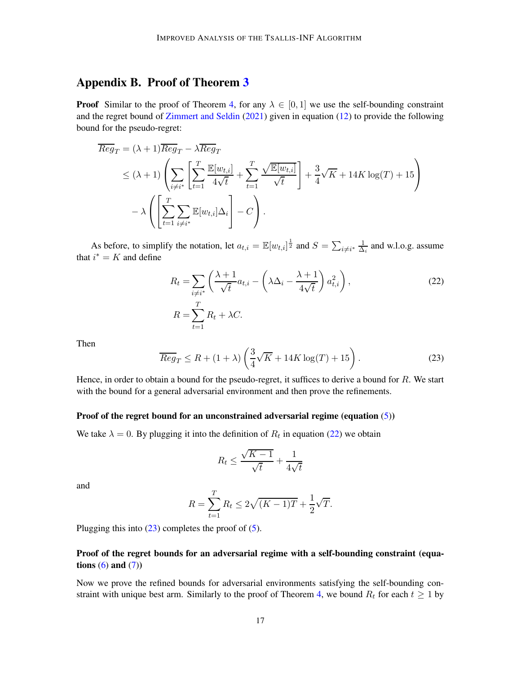# <span id="page-16-0"></span>Appendix B. Proof of Theorem [3](#page-5-0)

**Proof** Similar to the proof of Theorem [4,](#page-6-0) for any  $\lambda \in [0, 1]$  we use the self-bounding constraint and the regret bound of [Zimmert and Seldin](#page-14-7) [\(2021](#page-14-7)) given in equation [\(12\)](#page-8-0) to provide the following bound for the pseudo-regret:

$$
\overline{Reg}_T = (\lambda + 1)\overline{Reg}_T - \lambda \overline{Reg}_T
$$
\n
$$
\leq (\lambda + 1) \left( \sum_{i \neq i^*} \left[ \sum_{t=1}^T \frac{\mathbb{E}[w_{t,i}]}{4\sqrt{t}} + \sum_{t=1}^T \frac{\sqrt{\mathbb{E}[w_{t,i}]} }{\sqrt{t}} \right] + \frac{3}{4} \sqrt{K} + 14K \log(T) + 15 \right)
$$
\n
$$
- \lambda \left( \left[ \sum_{t=1}^T \sum_{i \neq i^*} \mathbb{E}[w_{t,i}] \Delta_i \right] - C \right).
$$

As before, to simplify the notation, let  $a_{t,i} = \mathbb{E}[w_{t,i}]^{\frac{1}{2}}$  and  $S = \sum_{i \neq i^*} \frac{1}{\Delta}$  $\frac{1}{\Delta_i}$  and w.l.o.g. assume that  $i^* = K$  and define

<span id="page-16-1"></span>
$$
R_t = \sum_{i \neq i^*} \left( \frac{\lambda + 1}{\sqrt{t}} a_{t,i} - \left( \lambda \Delta_i - \frac{\lambda + 1}{4\sqrt{t}} \right) a_{t,i}^2 \right),
$$
  
\n
$$
R = \sum_{t=1}^T R_t + \lambda C.
$$
\n(22)

Then

<span id="page-16-2"></span>
$$
\overline{Reg}_T \le R + (1+\lambda) \left(\frac{3}{4}\sqrt{K} + 14K \log(T) + 15\right). \tag{23}
$$

Hence, in order to obtain a bound for the pseudo-regret, it suffices to derive a bound for  $R$ . We start with the bound for a general adversarial environment and then prove the refinements.

#### Proof of the regret bound for an unconstrained adversarial regime (equation [\(5\)](#page-5-4))

We take  $\lambda = 0$ . By plugging it into the definition of  $R_t$  in equation [\(22\)](#page-16-1) we obtain

$$
R_t \le \frac{\sqrt{K-1}}{\sqrt{t}} + \frac{1}{4\sqrt{t}}
$$

and

$$
R = \sum_{t=1}^{T} R_t \le 2\sqrt{(K-1)T} + \frac{1}{2}\sqrt{T}.
$$

Plugging this into  $(23)$  completes the proof of  $(5)$ .

### Proof of the regret bounds for an adversarial regime with a self-bounding constraint (equations  $(6)$  and  $(7)$ )

Now we prove the refined bounds for adversarial environments satisfying the self-bounding con-straint with unique best arm. Similarly to the proof of Theorem [4,](#page-6-0) we bound  $R_t$  for each  $t \geq 1$  by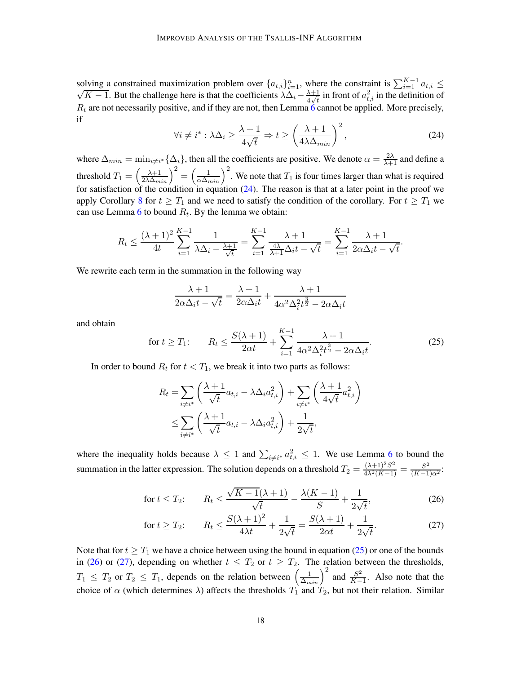solving a constrained maximization problem over  $\{a_{t,i}\}_{i=1}^n$ , where the constraint is  $\sum_{i=1}^{K-1} a_{t,i} \le \sqrt{K-1}$ . But the challenge here is that the coefficients  $\lambda \Delta_i - \frac{\lambda+1}{4\sqrt{t}}$  in front of  $a_{t,i}^2$  in the de  $R_t$  are not necessarily positive, and if they are not, then Lemma [6](#page-15-0) cannot be applied. More precisely, if

<span id="page-17-0"></span>
$$
\forall i \neq i^* : \lambda \Delta_i \ge \frac{\lambda + 1}{4\sqrt{t}} \Rightarrow t \ge \left(\frac{\lambda + 1}{4\lambda \Delta_{min}}\right)^2,\tag{24}
$$

where  $\Delta_{min} = \min_{i \neq i^*} {\{\Delta_i\}}$ , then all the coefficients are positive. We denote  $\alpha = \frac{2\lambda}{\lambda+1}$  and define a threshold  $T_1 = \left(\frac{\lambda+1}{2\lambda\Delta_{min}}\right)^2 = \left(\frac{1}{\alpha\Delta_{min}}\right)^2$ . We note that  $T_1$  is four times larger than what is required for satisfaction of the condition in equation  $(24)$ . The reason is that at a later point in the proof we apply Corollary [8](#page-15-2) for  $t \geq T_1$  and we need to satisfy the condition of the corollary. For  $t \geq T_1$  we can use Lemma [6](#page-15-0) to bound  $R_t$ . By the lemma we obtain:

$$
R_t \le \frac{(\lambda + 1)^2}{4t} \sum_{i=1}^{K-1} \frac{1}{\lambda \Delta_i - \frac{\lambda + 1}{\sqrt{t}}} = \sum_{i=1}^{K-1} \frac{\lambda + 1}{\frac{4\lambda}{\lambda + 1} \Delta_i t - \sqrt{t}} = \sum_{i=1}^{K-1} \frac{\lambda + 1}{2\alpha \Delta_i t - \sqrt{t}}.
$$

We rewrite each term in the summation in the following way

$$
\frac{\lambda+1}{2\alpha\Delta_i t - \sqrt{t}} = \frac{\lambda+1}{2\alpha\Delta_i t} + \frac{\lambda+1}{4\alpha^2\Delta_i^2 t^{\frac{3}{2}} - 2\alpha\Delta_i t}
$$

and obtain

<span id="page-17-1"></span>for 
$$
t \ge T_1
$$
:  $R_t \le \frac{S(\lambda + 1)}{2\alpha t} + \sum_{i=1}^{K-1} \frac{\lambda + 1}{4\alpha^2 \Delta_i^2 t^{\frac{3}{2}} - 2\alpha \Delta_i t}$ . (25)

In order to bound  $R_t$  for  $t < T_1$ , we break it into two parts as follows:

$$
R_t = \sum_{i \neq i^*} \left( \frac{\lambda + 1}{\sqrt{t}} a_{t,i} - \lambda \Delta_i a_{t,i}^2 \right) + \sum_{i \neq i^*} \left( \frac{\lambda + 1}{4\sqrt{t}} a_{t,i}^2 \right)
$$
  

$$
\leq \sum_{i \neq i^*} \left( \frac{\lambda + 1}{\sqrt{t}} a_{t,i} - \lambda \Delta_i a_{t,i}^2 \right) + \frac{1}{2\sqrt{t}},
$$

where the inequality holds because  $\lambda \leq 1$  and  $\sum_{i \neq i^*} a_{t,i}^2 \leq 1$ . We use Lemma [6](#page-15-0) to bound the summation in the latter expression. The solution depends on a threshold  $T_2 = \frac{(\lambda+1)^2 S^2}{4\lambda^2 (K-1)} = \frac{S^2}{(K-1)\alpha^2}$ .

<span id="page-17-2"></span>for 
$$
t \leq T_2
$$
:  $R_t \leq \frac{\sqrt{K-1}(\lambda+1)}{\sqrt{t}} - \frac{\lambda(K-1)}{S} + \frac{1}{2\sqrt{t}},$  (26)

<span id="page-17-3"></span>for 
$$
t \ge T_2
$$
:  $R_t \le \frac{S(\lambda + 1)^2}{4\lambda t} + \frac{1}{2\sqrt{t}} = \frac{S(\lambda + 1)}{2\alpha t} + \frac{1}{2\sqrt{t}}$ . (27)

Note that for  $t \geq T_1$  we have a choice between using the bound in equation [\(25\)](#page-17-1) or one of the bounds in [\(26\)](#page-17-2) or [\(27\)](#page-17-3), depending on whether  $t \leq T_2$  or  $t \geq T_2$ . The relation between the thresholds,  $T_1 \leq T_2$  or  $T_2 \leq T_1$ , depends on the relation between  $\left(\frac{1}{\Delta_{min}}\right)^2$  and  $\frac{S^2}{K-1}$  $\frac{S^2}{K-1}$ . Also note that the choice of  $\alpha$  (which determines  $\lambda$ ) affects the thresholds  $T_1$  and  $T_2$ , but not their relation. Similar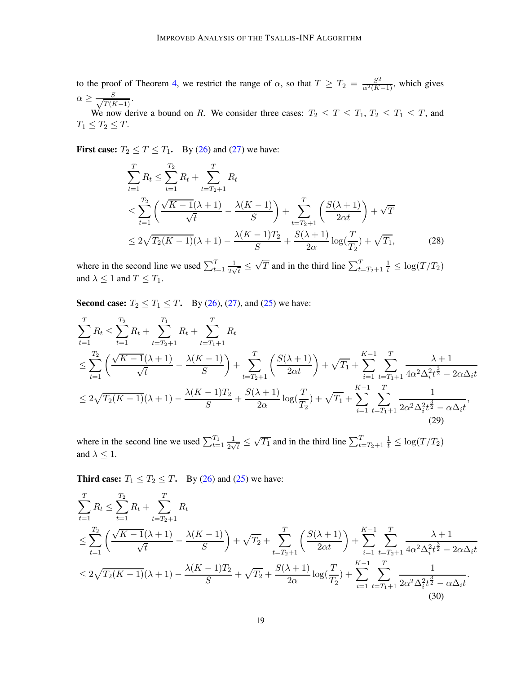to the proof of Theorem [4,](#page-6-0) we restrict the range of  $\alpha$ , so that  $T \geq T_2 = \frac{S^2}{\alpha^2(K-1)}$ , which gives  $\alpha \geq \frac{S}{\sqrt{T(I)}}$ .

 $T(K-1)$ We now derive a bound on R. We consider three cases:  $T_2 \le T \le T_1$ ,  $T_2 \le T_1 \le T$ , and  $T_1 \leq T_2 \leq T$ .

First case:  $T_2 \le T \le T_1$ . By [\(26\)](#page-17-2) and [\(27\)](#page-17-3) we have:

<span id="page-18-2"></span>
$$
\sum_{t=1}^{T} R_t \le \sum_{t=1}^{T_2} R_t + \sum_{t=T_2+1}^{T} R_t
$$
\n
$$
\le \sum_{t=1}^{T_2} \left( \frac{\sqrt{K-1}(\lambda+1)}{\sqrt{t}} - \frac{\lambda(K-1)}{S} \right) + \sum_{t=T_2+1}^{T} \left( \frac{S(\lambda+1)}{2\alpha t} \right) + \sqrt{T}
$$
\n
$$
\le 2\sqrt{T_2(K-1)}(\lambda+1) - \frac{\lambda(K-1)T_2}{S} + \frac{S(\lambda+1)}{2\alpha} \log(\frac{T}{T_2}) + \sqrt{T_1},
$$
\n(28)

where in the second line we used  $\sum_{t=1}^{T} \frac{1}{2v}$  $\frac{1}{2\sqrt{t}} \leq$  $\sqrt{T}$  and in the third line  $\sum_{t=T_2+1}^{T} \frac{1}{t} \leq \log(T/T_2)$ and  $\lambda \leq 1$  and  $T \leq T_1$ .

**Second case:**  $T_2 \le T_1 \le T$ . By [\(26\)](#page-17-2), [\(27\)](#page-17-3), and [\(25\)](#page-17-1) we have:

$$
\sum_{t=1}^{T} R_t \le \sum_{t=1}^{T_2} R_t + \sum_{t=T_2+1}^{T_1} R_t + \sum_{t=T_1+1}^{T} R_t
$$
\n
$$
\le \sum_{t=1}^{T_2} \left( \frac{\sqrt{K-1}(\lambda+1)}{\sqrt{t}} - \frac{\lambda(K-1)}{S} \right) + \sum_{t=T_2+1}^{T} \left( \frac{S(\lambda+1)}{2\alpha t} \right) + \sqrt{T_1} + \sum_{i=1}^{K-1} \sum_{t=T_1+1}^{T} \frac{\lambda+1}{4\alpha^2 \Delta_i^2 t^{\frac{3}{2}} - 2\alpha \Delta_i t}
$$
\n
$$
\le 2\sqrt{T_2(K-1)}(\lambda+1) - \frac{\lambda(K-1)T_2}{S} + \frac{S(\lambda+1)}{2\alpha} \log(\frac{T}{T_2}) + \sqrt{T_1} + \sum_{i=1}^{K-1} \sum_{t=T_1+1}^{T} \frac{1}{2\alpha^2 \Delta_i^2 t^{\frac{3}{2}} - \alpha \Delta_i t},
$$
\n(29)

<span id="page-18-0"></span>where in the second line we used  $\sum_{t=1}^{T_1} \frac{1}{2v}$  $\frac{1}{2\sqrt{t}} \leq$  $\sqrt{T_1}$  and in the third line  $\sum_{t=T_2+1}^{T} \frac{1}{t} \le \log(T/T_2)$ and  $\lambda \leq 1$ .

**Third case:**  $T_1 \leq T_2 \leq T$ . By [\(26\)](#page-17-2) and [\(25\)](#page-17-1) we have:

<span id="page-18-1"></span>
$$
\sum_{t=1}^{T} R_t \le \sum_{t=1}^{T_2} R_t + \sum_{t=T_2+1}^{T} R_t
$$
\n
$$
\le \sum_{t=1}^{T_2} \left( \frac{\sqrt{K-1}(\lambda+1)}{\sqrt{t}} - \frac{\lambda(K-1)}{S} \right) + \sqrt{T_2} + \sum_{t=T_2+1}^{T} \left( \frac{S(\lambda+1)}{2\alpha t} \right) + \sum_{i=1}^{K-1} \sum_{t=T_2+1}^{T} \frac{\lambda+1}{4\alpha^2 \Delta_i^2 t^{\frac{3}{2}} - 2\alpha \Delta_i t}
$$
\n
$$
\le 2\sqrt{T_2(K-1)}(\lambda+1) - \frac{\lambda(K-1)T_2}{S} + \sqrt{T_2} + \frac{S(\lambda+1)}{2\alpha} \log(\frac{T}{T_2}) + \sum_{i=1}^{K-1} \sum_{t=T_1+1}^{T} \frac{1}{2\alpha^2 \Delta_i^2 t^{\frac{3}{2}} - \alpha \Delta_i t}.
$$
\n(30)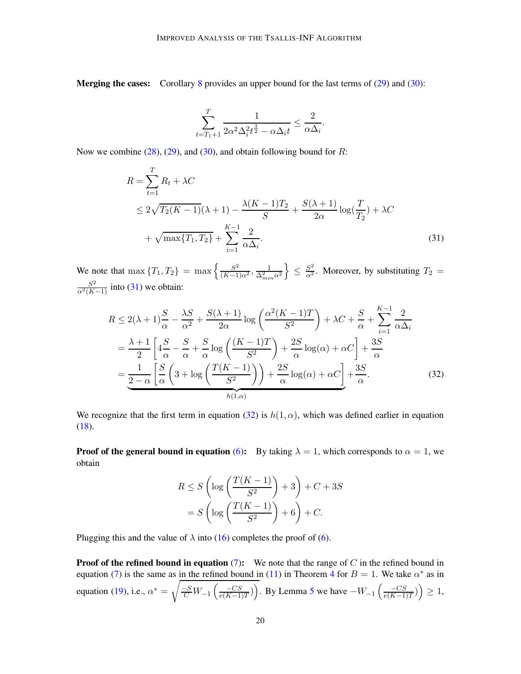**Merging the cases:** Corollary [8](#page-15-2) provides an upper bound for the last terms of  $(29)$  and  $(30)$ :

<span id="page-19-0"></span>
$$
\sum_{t=T_1+1}^T \frac{1}{2\alpha^2 \Delta_i^2 t^{\frac{3}{2}} - \alpha \Delta_i t} \le \frac{2}{\alpha \Delta_i}.
$$

Now we combine  $(28)$ ,  $(29)$ , and  $(30)$ , and obtain following bound for R:

$$
R = \sum_{t=1}^{T} R_t + \lambda C
$$
  
\n
$$
\leq 2\sqrt{T_2(K-1)}(\lambda + 1) - \frac{\lambda(K-1)T_2}{S} + \frac{S(\lambda+1)}{2\alpha} \log(\frac{T}{T_2}) + \lambda C
$$
  
\n
$$
+ \sqrt{\max\{T_1, T_2\}} + \sum_{i=1}^{K-1} \frac{2}{\alpha \Delta_i}.
$$
\n(31)

We note that max  $\{T_1, T_2\}$  = max  $\left\{\frac{S^2}{(K-1)\alpha^2}, \frac{1}{\Delta_{min}^2 \alpha^2}\right\}$  $\mathcal{L}$  $\leq \frac{S^2}{\alpha^2}$ . Moreover, by substituting  $T_2 =$  $\frac{S^2}{\alpha^2(K-1)}$  into [\(31\)](#page-19-0) we obtain:

$$
R \le 2(\lambda + 1)\frac{S}{\alpha} - \frac{\lambda S}{\alpha^2} + \frac{S(\lambda + 1)}{2\alpha}\log\left(\frac{\alpha^2(K - 1)T}{S^2}\right) + \lambda C + \frac{S}{\alpha} + \sum_{i=1}^{K-1}\frac{2}{\alpha\Delta_i}
$$
  
=  $\frac{\lambda + 1}{2}\left[4\frac{S}{\alpha} - \frac{S}{\alpha} + \frac{S}{\alpha}\log\left(\frac{(K - 1)T}{S^2}\right) + \frac{2S}{\alpha}\log(\alpha) + \alpha C\right] + \frac{3S}{\alpha}$   
=  $\frac{1}{2-\alpha}\left[\frac{S}{\alpha}\left(3 + \log\left(\frac{T(K - 1)}{S^2}\right)\right) + \frac{2S}{\alpha}\log(\alpha) + \alpha C\right] + \frac{3S}{\alpha}.$  (32)

We recognize that the first term in equation [\(32\)](#page-19-1) is  $h(1, \alpha)$ , which was defined earlier in equation  $(18).$  $(18).$ 

**Proof of the general bound in equation** [\(6\)](#page-5-1): By taking  $\lambda = 1$ , which corresponds to  $\alpha = 1$ , we obtain

<span id="page-19-1"></span>
$$
R \le S\left(\log\left(\frac{T(K-1)}{S^2}\right) + 3\right) + C + 3S
$$

$$
= S\left(\log\left(\frac{T(K-1)}{S^2}\right) + 6\right) + C.
$$

Plugging this and the value of  $\lambda$  into [\(16\)](#page-9-1) completes the proof of [\(6\)](#page-5-1).

**Proof of the refined bound in equation [\(7\)](#page-6-1):** We note that the range of  $C$  in the refined bound in equation [\(7\)](#page-6-1) is the same as in the refined bound in [\(11\)](#page-7-1) in Theorem [4](#page-6-0) for  $B = 1$ . We take  $\alpha^*$  as in equation [\(19\)](#page-11-1), i.e.,  $\alpha^* =$  $\sqrt{\frac{-S}{C}W_{-1}\left(\frac{-CS}{e(K-1)}\right)}$  $\frac{-CS}{e(K-1)T}$ ). By Lemma [5](#page-12-0) we have  $-W_{-1}$   $\left(\frac{-CS}{e(K-1)}\right)$  $\frac{-CS}{e(K-1)T}$ )  $\geq 1$ ,